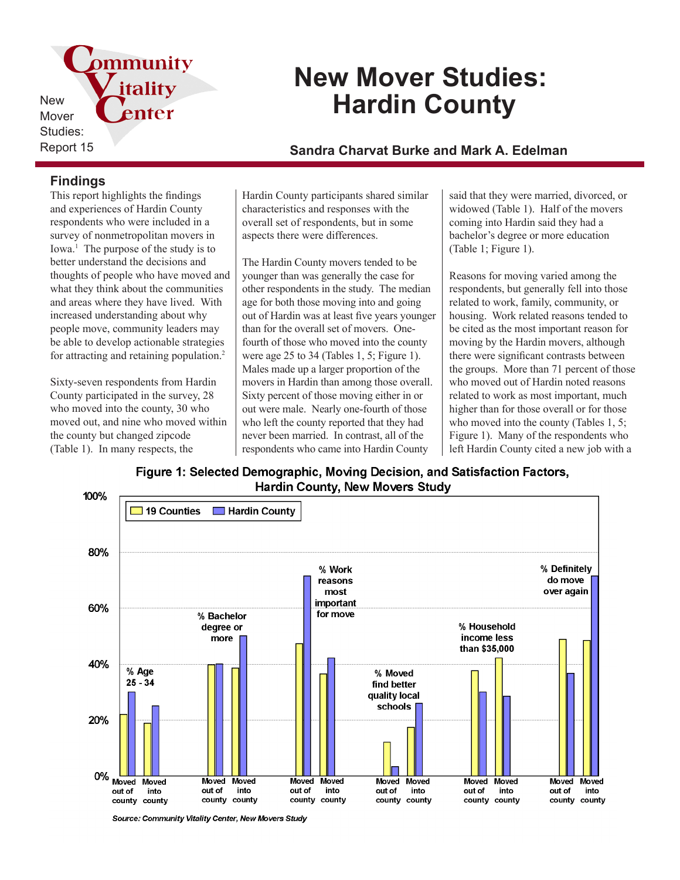pmmunity itality New Mover Studies:

# **New Mover Studies: Hardin County**

## Report 15 **Sandra Charvat Burke and Mark A. Edelman**

### **Findings**

This report highlights the findings and experiences of Hardin County respondents who were included in a survey of nonmetropolitan movers in Iowa.<sup>1</sup> The purpose of the study is to better understand the decisions and thoughts of people who have moved and what they think about the communities and areas where they have lived. With increased understanding about why people move, community leaders may be able to develop actionable strategies for attracting and retaining population.<sup>2</sup>

enter

Sixty-seven respondents from Hardin County participated in the survey, 28 who moved into the county, 30 who moved out, and nine who moved within the county but changed zipcode (Table 1). In many respects, the

Hardin County participants shared similar characteristics and responses with the overall set of respondents, but in some aspects there were differences.

The Hardin County movers tended to be younger than was generally the case for other respondents in the study. The median age for both those moving into and going out of Hardin was at least five years younger than for the overall set of movers. Onefourth of those who moved into the county were age 25 to 34 (Tables 1, 5; Figure 1). Males made up a larger proportion of the movers in Hardin than among those overall. Sixty percent of those moving either in or out were male. Nearly one-fourth of those who left the county reported that they had never been married. In contrast, all of the respondents who came into Hardin County

said that they were married, divorced, or widowed (Table 1). Half of the movers coming into Hardin said they had a bachelor's degree or more education (Table 1; Figure 1).

Reasons for moving varied among the respondents, but generally fell into those related to work, family, community, or housing. Work related reasons tended to be cited as the most important reason for moving by the Hardin movers, although there were significant contrasts between the groups. More than 71 percent of those who moved out of Hardin noted reasons related to work as most important, much higher than for those overall or for those who moved into the county (Tables 1, 5; Figure 1). Many of the respondents who left Hardin County cited a new job with a

Figure 1: Selected Demographic, Moving Decision, and Satisfaction Factors, **Hardin County, New Movers Study** 



Source: Community Vitality Center, New Movers Study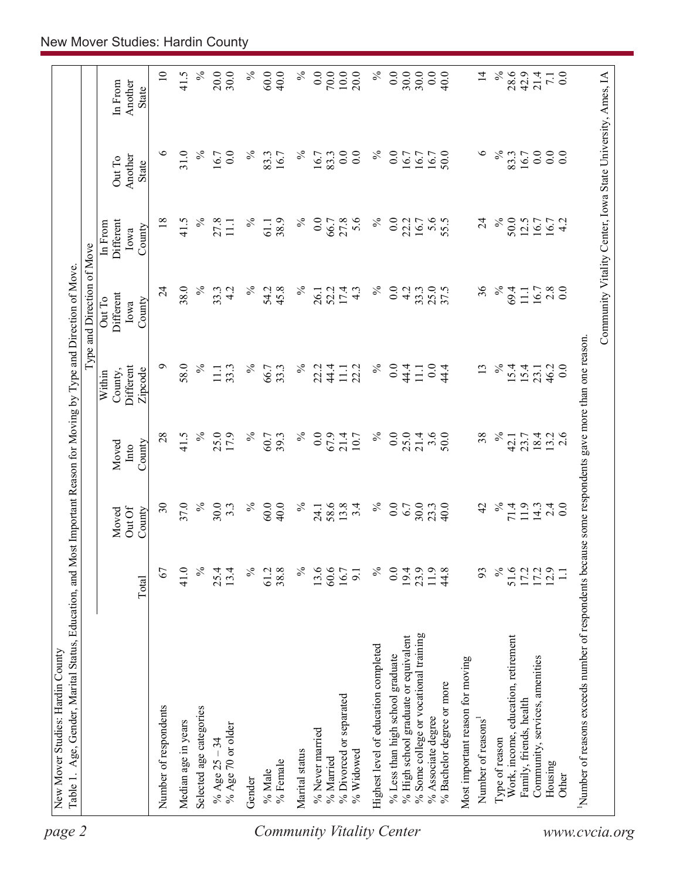| 0.0<br>$70.0\,$<br>$10.0$<br>30.0<br>0.0<br>$\%$<br>40.0<br>$\gtrsim$<br>20.0<br>$\%$<br>0.0<br>30.0<br>$\overline{4}$<br>42.9<br>40.0<br>21.4<br>0.0<br>$\overline{z}$<br>Another<br>In From<br><b>State</b><br>$\circ$<br>0.0<br>31.0<br>$\%$<br>0.0<br>$\%$<br>0.0<br>0.0<br>$\%$<br>0.0<br>$\circ$<br>$\%$<br>0.0<br>16.7<br>83.3<br>$\%$<br>16.7<br>50.0<br>83.3<br>0.0<br>83.3<br>16.7<br>16.7<br>16.7<br>16.7<br>16.7<br>Another<br>Out To<br>State<br>$\%$<br>18<br>$\%$<br>27.8<br>$\%$<br>0.0<br>27.8<br>5.6<br>$\%$<br>0.0<br>$\overline{24}$<br>50.0<br>4.2<br>41.5<br>$\%$<br>38.9<br>55.5<br>12.5<br>22.2<br>16.7<br>16.7<br>16.7<br>Different<br>$11.1\,$<br>61.1<br>66.7<br>In From<br>County<br>Iowa<br>38.0<br>$\%$<br>$\%$<br>36<br>$\%$<br>$\%$<br>0.0<br>25.0<br>$\%$<br>$\frac{8}{0.0}$<br>$\overline{c}$<br>33.3<br>54.2<br>45.8<br>17.4<br>4.2<br>33.3<br>69.4<br>4.2<br>52.2<br>$4.\overline{3}$<br>26.1<br>11.1<br>16.7<br>Different<br>Out To<br>County<br>Iowa<br>Number of reasons exceeds number of respondents because some respondents gave more than one reason.<br>$\sigma$<br>58.0<br>$\%$<br>$\%$<br>$0.0\,$<br>$0.0\,$<br>$\%$<br>Different<br>33.3<br>66.7<br>$\%$<br>22.2<br>44.4<br>$\%$<br>44.4<br>13<br>15.4<br>46.2<br>0.0<br>33.3<br>22.2<br>44.4<br>15.4<br>$\overline{111}$<br>11.1<br>11.1<br>23.1<br>Zipcode<br>County,<br>Within<br>$\%$<br>28<br>41.5<br>25.0<br>17.9<br>$\%$<br>$\%$<br>0.0<br>67.9<br>$\%$<br>0.0<br>25.0<br>$21.4$<br>$3.6$<br>38<br>$\%$<br>39.3<br>$21.4$<br>10.7<br>50.0<br>18.4<br>$13.2$<br>2.6<br>60.7<br>23.7<br>42.1<br>County<br>Moved<br>Into<br>37.0<br>30<br>$\%$<br>$\%$<br>30.0<br>$\%$<br>$\%$<br>58.6<br>13.8<br>0.0<br>$\%$<br>11.9<br>60.0<br>40.0<br>3.4<br>6.7<br>30.0<br>23.3<br>40.0<br>$3.\overline{3}$<br>42<br>71.4<br>14.3<br>2.4<br>$\overline{0.0}$<br>24.1<br>Out Of<br>County<br>Moved<br>$\frac{5}{6}$<br>$\%$<br>$\%$<br>67<br>41.0<br>$\%$<br>38.8<br>60.6<br>0.0<br>11.9<br>93<br>$\%$<br>17.2<br>25.4<br>13.4<br>61.2<br>13.6<br>19.4<br>23.9<br>44.8<br>51.6<br>16.7<br>$\overline{9}$ .<br>Total<br>% Some college or vocational training<br>% High school graduate or equivalent<br>Work, income, education, retirement<br>Highest level of education completed<br>% Less than high school graduate<br>Community, services, amenities<br>Most important reason for moving<br>% Bachelor degree or more<br>% Divorced or separated<br>Family, friends, health<br>Number of respondents<br>Selected age categories<br>% Associate degree<br>Number of reasons <sup>1</sup><br>Median age in years<br>% Age 70 or older<br>% Never married<br>% Age $25 - 34$<br>Type of reason<br>Marital status<br>% Widowed<br>% Married<br>% Female<br>Housing<br>% Male<br>Other<br>Gender |  |  | Type and Direction of Move |  |                 |
|-----------------------------------------------------------------------------------------------------------------------------------------------------------------------------------------------------------------------------------------------------------------------------------------------------------------------------------------------------------------------------------------------------------------------------------------------------------------------------------------------------------------------------------------------------------------------------------------------------------------------------------------------------------------------------------------------------------------------------------------------------------------------------------------------------------------------------------------------------------------------------------------------------------------------------------------------------------------------------------------------------------------------------------------------------------------------------------------------------------------------------------------------------------------------------------------------------------------------------------------------------------------------------------------------------------------------------------------------------------------------------------------------------------------------------------------------------------------------------------------------------------------------------------------------------------------------------------------------------------------------------------------------------------------------------------------------------------------------------------------------------------------------------------------------------------------------------------------------------------------------------------------------------------------------------------------------------------------------------------------------------------------------------------------------------------------------------------------------------------------------------------------------------------------------------------------------------------------------------------------------------------------------------------------------------------------------------------------------------------------------------------------------------------------------------------------------------------------------------------------------------------------------------------------------------------------------------------------------------------------------------------------------------------------------------------------------------------------------------------------------------------------------------------------|--|--|----------------------------|--|-----------------|
|                                                                                                                                                                                                                                                                                                                                                                                                                                                                                                                                                                                                                                                                                                                                                                                                                                                                                                                                                                                                                                                                                                                                                                                                                                                                                                                                                                                                                                                                                                                                                                                                                                                                                                                                                                                                                                                                                                                                                                                                                                                                                                                                                                                                                                                                                                                                                                                                                                                                                                                                                                                                                                                                                                                                                                                         |  |  |                            |  |                 |
|                                                                                                                                                                                                                                                                                                                                                                                                                                                                                                                                                                                                                                                                                                                                                                                                                                                                                                                                                                                                                                                                                                                                                                                                                                                                                                                                                                                                                                                                                                                                                                                                                                                                                                                                                                                                                                                                                                                                                                                                                                                                                                                                                                                                                                                                                                                                                                                                                                                                                                                                                                                                                                                                                                                                                                                         |  |  |                            |  | $\overline{10}$ |
|                                                                                                                                                                                                                                                                                                                                                                                                                                                                                                                                                                                                                                                                                                                                                                                                                                                                                                                                                                                                                                                                                                                                                                                                                                                                                                                                                                                                                                                                                                                                                                                                                                                                                                                                                                                                                                                                                                                                                                                                                                                                                                                                                                                                                                                                                                                                                                                                                                                                                                                                                                                                                                                                                                                                                                                         |  |  |                            |  | 41.5            |
|                                                                                                                                                                                                                                                                                                                                                                                                                                                                                                                                                                                                                                                                                                                                                                                                                                                                                                                                                                                                                                                                                                                                                                                                                                                                                                                                                                                                                                                                                                                                                                                                                                                                                                                                                                                                                                                                                                                                                                                                                                                                                                                                                                                                                                                                                                                                                                                                                                                                                                                                                                                                                                                                                                                                                                                         |  |  |                            |  | $\%$            |
|                                                                                                                                                                                                                                                                                                                                                                                                                                                                                                                                                                                                                                                                                                                                                                                                                                                                                                                                                                                                                                                                                                                                                                                                                                                                                                                                                                                                                                                                                                                                                                                                                                                                                                                                                                                                                                                                                                                                                                                                                                                                                                                                                                                                                                                                                                                                                                                                                                                                                                                                                                                                                                                                                                                                                                                         |  |  |                            |  | 20.0<br>30.0    |
|                                                                                                                                                                                                                                                                                                                                                                                                                                                                                                                                                                                                                                                                                                                                                                                                                                                                                                                                                                                                                                                                                                                                                                                                                                                                                                                                                                                                                                                                                                                                                                                                                                                                                                                                                                                                                                                                                                                                                                                                                                                                                                                                                                                                                                                                                                                                                                                                                                                                                                                                                                                                                                                                                                                                                                                         |  |  |                            |  | $\%$            |
|                                                                                                                                                                                                                                                                                                                                                                                                                                                                                                                                                                                                                                                                                                                                                                                                                                                                                                                                                                                                                                                                                                                                                                                                                                                                                                                                                                                                                                                                                                                                                                                                                                                                                                                                                                                                                                                                                                                                                                                                                                                                                                                                                                                                                                                                                                                                                                                                                                                                                                                                                                                                                                                                                                                                                                                         |  |  |                            |  | 60.0            |
|                                                                                                                                                                                                                                                                                                                                                                                                                                                                                                                                                                                                                                                                                                                                                                                                                                                                                                                                                                                                                                                                                                                                                                                                                                                                                                                                                                                                                                                                                                                                                                                                                                                                                                                                                                                                                                                                                                                                                                                                                                                                                                                                                                                                                                                                                                                                                                                                                                                                                                                                                                                                                                                                                                                                                                                         |  |  |                            |  |                 |
|                                                                                                                                                                                                                                                                                                                                                                                                                                                                                                                                                                                                                                                                                                                                                                                                                                                                                                                                                                                                                                                                                                                                                                                                                                                                                                                                                                                                                                                                                                                                                                                                                                                                                                                                                                                                                                                                                                                                                                                                                                                                                                                                                                                                                                                                                                                                                                                                                                                                                                                                                                                                                                                                                                                                                                                         |  |  |                            |  |                 |
|                                                                                                                                                                                                                                                                                                                                                                                                                                                                                                                                                                                                                                                                                                                                                                                                                                                                                                                                                                                                                                                                                                                                                                                                                                                                                                                                                                                                                                                                                                                                                                                                                                                                                                                                                                                                                                                                                                                                                                                                                                                                                                                                                                                                                                                                                                                                                                                                                                                                                                                                                                                                                                                                                                                                                                                         |  |  |                            |  |                 |
|                                                                                                                                                                                                                                                                                                                                                                                                                                                                                                                                                                                                                                                                                                                                                                                                                                                                                                                                                                                                                                                                                                                                                                                                                                                                                                                                                                                                                                                                                                                                                                                                                                                                                                                                                                                                                                                                                                                                                                                                                                                                                                                                                                                                                                                                                                                                                                                                                                                                                                                                                                                                                                                                                                                                                                                         |  |  |                            |  |                 |
|                                                                                                                                                                                                                                                                                                                                                                                                                                                                                                                                                                                                                                                                                                                                                                                                                                                                                                                                                                                                                                                                                                                                                                                                                                                                                                                                                                                                                                                                                                                                                                                                                                                                                                                                                                                                                                                                                                                                                                                                                                                                                                                                                                                                                                                                                                                                                                                                                                                                                                                                                                                                                                                                                                                                                                                         |  |  |                            |  |                 |
|                                                                                                                                                                                                                                                                                                                                                                                                                                                                                                                                                                                                                                                                                                                                                                                                                                                                                                                                                                                                                                                                                                                                                                                                                                                                                                                                                                                                                                                                                                                                                                                                                                                                                                                                                                                                                                                                                                                                                                                                                                                                                                                                                                                                                                                                                                                                                                                                                                                                                                                                                                                                                                                                                                                                                                                         |  |  |                            |  |                 |
|                                                                                                                                                                                                                                                                                                                                                                                                                                                                                                                                                                                                                                                                                                                                                                                                                                                                                                                                                                                                                                                                                                                                                                                                                                                                                                                                                                                                                                                                                                                                                                                                                                                                                                                                                                                                                                                                                                                                                                                                                                                                                                                                                                                                                                                                                                                                                                                                                                                                                                                                                                                                                                                                                                                                                                                         |  |  |                            |  |                 |
|                                                                                                                                                                                                                                                                                                                                                                                                                                                                                                                                                                                                                                                                                                                                                                                                                                                                                                                                                                                                                                                                                                                                                                                                                                                                                                                                                                                                                                                                                                                                                                                                                                                                                                                                                                                                                                                                                                                                                                                                                                                                                                                                                                                                                                                                                                                                                                                                                                                                                                                                                                                                                                                                                                                                                                                         |  |  |                            |  |                 |
|                                                                                                                                                                                                                                                                                                                                                                                                                                                                                                                                                                                                                                                                                                                                                                                                                                                                                                                                                                                                                                                                                                                                                                                                                                                                                                                                                                                                                                                                                                                                                                                                                                                                                                                                                                                                                                                                                                                                                                                                                                                                                                                                                                                                                                                                                                                                                                                                                                                                                                                                                                                                                                                                                                                                                                                         |  |  |                            |  |                 |
|                                                                                                                                                                                                                                                                                                                                                                                                                                                                                                                                                                                                                                                                                                                                                                                                                                                                                                                                                                                                                                                                                                                                                                                                                                                                                                                                                                                                                                                                                                                                                                                                                                                                                                                                                                                                                                                                                                                                                                                                                                                                                                                                                                                                                                                                                                                                                                                                                                                                                                                                                                                                                                                                                                                                                                                         |  |  |                            |  |                 |
|                                                                                                                                                                                                                                                                                                                                                                                                                                                                                                                                                                                                                                                                                                                                                                                                                                                                                                                                                                                                                                                                                                                                                                                                                                                                                                                                                                                                                                                                                                                                                                                                                                                                                                                                                                                                                                                                                                                                                                                                                                                                                                                                                                                                                                                                                                                                                                                                                                                                                                                                                                                                                                                                                                                                                                                         |  |  |                            |  |                 |
|                                                                                                                                                                                                                                                                                                                                                                                                                                                                                                                                                                                                                                                                                                                                                                                                                                                                                                                                                                                                                                                                                                                                                                                                                                                                                                                                                                                                                                                                                                                                                                                                                                                                                                                                                                                                                                                                                                                                                                                                                                                                                                                                                                                                                                                                                                                                                                                                                                                                                                                                                                                                                                                                                                                                                                                         |  |  |                            |  |                 |
|                                                                                                                                                                                                                                                                                                                                                                                                                                                                                                                                                                                                                                                                                                                                                                                                                                                                                                                                                                                                                                                                                                                                                                                                                                                                                                                                                                                                                                                                                                                                                                                                                                                                                                                                                                                                                                                                                                                                                                                                                                                                                                                                                                                                                                                                                                                                                                                                                                                                                                                                                                                                                                                                                                                                                                                         |  |  |                            |  | 28.6            |
|                                                                                                                                                                                                                                                                                                                                                                                                                                                                                                                                                                                                                                                                                                                                                                                                                                                                                                                                                                                                                                                                                                                                                                                                                                                                                                                                                                                                                                                                                                                                                                                                                                                                                                                                                                                                                                                                                                                                                                                                                                                                                                                                                                                                                                                                                                                                                                                                                                                                                                                                                                                                                                                                                                                                                                                         |  |  |                            |  |                 |
|                                                                                                                                                                                                                                                                                                                                                                                                                                                                                                                                                                                                                                                                                                                                                                                                                                                                                                                                                                                                                                                                                                                                                                                                                                                                                                                                                                                                                                                                                                                                                                                                                                                                                                                                                                                                                                                                                                                                                                                                                                                                                                                                                                                                                                                                                                                                                                                                                                                                                                                                                                                                                                                                                                                                                                                         |  |  |                            |  |                 |
|                                                                                                                                                                                                                                                                                                                                                                                                                                                                                                                                                                                                                                                                                                                                                                                                                                                                                                                                                                                                                                                                                                                                                                                                                                                                                                                                                                                                                                                                                                                                                                                                                                                                                                                                                                                                                                                                                                                                                                                                                                                                                                                                                                                                                                                                                                                                                                                                                                                                                                                                                                                                                                                                                                                                                                                         |  |  |                            |  |                 |
|                                                                                                                                                                                                                                                                                                                                                                                                                                                                                                                                                                                                                                                                                                                                                                                                                                                                                                                                                                                                                                                                                                                                                                                                                                                                                                                                                                                                                                                                                                                                                                                                                                                                                                                                                                                                                                                                                                                                                                                                                                                                                                                                                                                                                                                                                                                                                                                                                                                                                                                                                                                                                                                                                                                                                                                         |  |  |                            |  |                 |
|                                                                                                                                                                                                                                                                                                                                                                                                                                                                                                                                                                                                                                                                                                                                                                                                                                                                                                                                                                                                                                                                                                                                                                                                                                                                                                                                                                                                                                                                                                                                                                                                                                                                                                                                                                                                                                                                                                                                                                                                                                                                                                                                                                                                                                                                                                                                                                                                                                                                                                                                                                                                                                                                                                                                                                                         |  |  |                            |  |                 |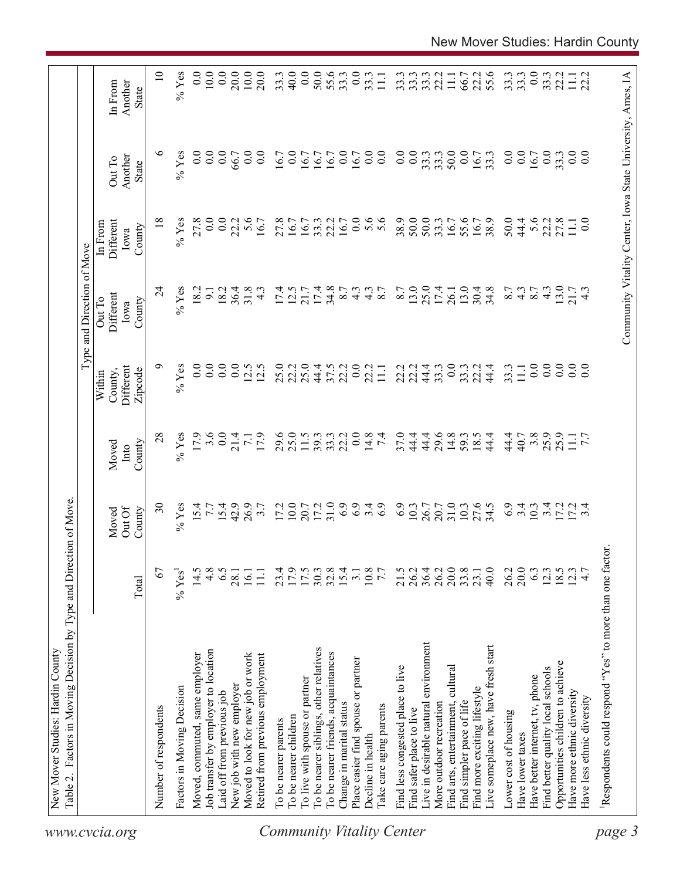|                                  | Factors in Moving Decision by Type and Direction of Move<br>New Mover Studies: Hardin County<br>Table 2. |                                            |                          |                    |                                | Type and Direction of Move  |                                                            |                   |                    |
|----------------------------------|----------------------------------------------------------------------------------------------------------|--------------------------------------------|--------------------------|--------------------|--------------------------------|-----------------------------|------------------------------------------------------------|-------------------|--------------------|
| www.cvcia.org                    |                                                                                                          |                                            | Out Of<br>Moved          | Moved<br>Into      | Different<br>County,<br>Within | Different<br>Out To<br>Iowa | Different<br>In From<br>Iowa                               | Another<br>Out To | Another<br>In From |
|                                  |                                                                                                          | Total                                      | County                   | County             | Zipcode                        | County                      | County                                                     | State             | State              |
|                                  | Number of respondents                                                                                    | 67                                         | $\overline{\mathcal{E}}$ | 28                 | ⌒                              | $\overline{24}$             | $\frac{8}{18}$                                             | ७                 | $\overline{10}$    |
|                                  | Factors in Moving Decision                                                                               | $\%$ Yes <sup>1</sup>                      | $%$ Yes                  | $%$ Yes            | $%$ Yes                        | $%$ Yes                     | $%$ Yes                                                    | $%$ Yes           | $%$ Yes            |
|                                  | Moved, commuted, same employer                                                                           | 14.5                                       |                          | 17.9               | 0.0                            | 18.2                        | 27.8                                                       | 0.0               | 0.0                |
|                                  | Job transfer by employer to location                                                                     | 4.8                                        | 15.4                     | 3.6                | 0.0                            | $\overline{9}$              | $\begin{matrix} 0.0 \\ 0.0 \end{matrix}$                   | 0.0               | 10.0               |
|                                  | Laid off from previous job                                                                               | 6.5                                        | $15.4$<br>42.9           |                    | $\overline{0.0}$               | 18.2                        |                                                            | 0.0               | 0.0                |
|                                  | New job with new employer                                                                                | 28.1                                       |                          | 21.4               | 0.0                            | 36.4                        | 22.2                                                       | 66.7              | 20.0               |
|                                  | Moved to look for new job or work                                                                        | 16.1                                       | 26.9                     | <b>7.1</b><br>17.9 | 12.5                           | 31.8                        | $5.6$<br>16.7                                              | $\ddot{0}$ .      | 10.0               |
|                                  | Retired from previous employment                                                                         | $11.1\,$                                   |                          |                    | 12.5                           | $\frac{4}{3}$               |                                                            | $\overline{0.0}$  | 20.0               |
|                                  | To be nearer parents                                                                                     |                                            | 17.2                     |                    | 25.0                           | 17.4                        | 27.8                                                       | 16.7              | 33.3               |
|                                  | To be nearer children                                                                                    | 23.4<br>17.9<br>17.5                       | $10.0$                   | 29.6<br>25.0       | 22.2                           | 12.5                        | 16.7                                                       | 0.0               | 40.0               |
|                                  | To live with spouse or partner                                                                           |                                            |                          | 11.5               | 25.0                           | 21.7                        | 16.7                                                       | 16.7              | 0.0                |
|                                  | To be nearer siblings, other relatives                                                                   | 30.3                                       | 20.7<br>17.2<br>31.0     | 39.3               | 44.4                           | 17.4                        | 33.3                                                       | 16.7              | 50.0               |
|                                  | To be nearer friends, acquaintances                                                                      | 32.8                                       |                          |                    | 37.5                           | 34.8                        | 22.2                                                       | 16.7              |                    |
|                                  | Change in marital status                                                                                 | $15.4$<br>3.1                              | 6.9                      | 33.3               | 22.2                           | 8.7                         | 16.7                                                       | $\overline{0.0}$  | 55.6               |
|                                  | Place easier find spouse or partner                                                                      |                                            | 6.9                      | 0.0                | 0.0                            | $4.\overline{3}$            | 0.0                                                        | 16.7              | 0.0                |
|                                  | Decline in health                                                                                        |                                            | 3.4                      | 14.8               | 22.2                           | $4.\overline{3}$<br>8.7     | 5.6                                                        | $\overline{0.0}$  | 33.3               |
| <b>Community Vitality Center</b> | l'ake care aging parents                                                                                 | $\begin{array}{c} 10.8 \\ 7.7 \end{array}$ |                          | $\overline{74}$    | $\Xi$                          |                             |                                                            | $\overline{0}$ .  |                    |
|                                  | Find less congested place to live                                                                        | 21.5                                       | 6.9                      | 37.0               | 22.2                           | 8.7                         | 38.9                                                       | 0.0               |                    |
|                                  | Find safer place to live                                                                                 | 26.2                                       | 10.3                     | 44.4               | 22.2                           | 13.0                        | 50.0                                                       | 0.0               | 33.3               |
|                                  | Live in desirable natural environment                                                                    | 36.4                                       | 26.7                     | 44.4               | 44.4                           | 25.0                        | 50.0                                                       | 33.3              | 33.3               |
|                                  | More outdoor recreation                                                                                  | $26.2$<br>$20.0$                           | 20.7                     | 29.6<br>14.8       | 33.3                           | 17.4                        | 33.3                                                       | 33.3              |                    |
|                                  | Find arts, entertainment, cultural                                                                       |                                            | 31.0                     |                    | 0.0                            | 26.1                        | 16.7                                                       | 50.0              | $\Xi$              |
|                                  | Find simpler pace of life                                                                                | 33.8                                       | $10.3$                   | 59.3<br>18.5       | 33.3                           | 13.0                        | 55.6                                                       | 0.0               | 66.7<br>22.2       |
|                                  | Find more exciting lifestyle                                                                             |                                            | 27.6<br>34.5             |                    |                                | 30.4                        | 16.7                                                       | 16.7              |                    |
|                                  | Live someplace new, have fresh start                                                                     | 40.0                                       |                          | 44.4               | 44.4                           | 34.8                        | 38.9                                                       | 33.3              | 55.6               |
|                                  | Lower cost of housing                                                                                    | 26.2                                       | 6.9                      | 44.4               | 33.3                           | 8.7                         | 50.0                                                       | 0.0               | 33.3               |
|                                  | Have lower taxes                                                                                         | 20.0                                       | $\ddot{3}$ .             | 40.7               | $\overline{111}$               | $4.\overline{3}$            | 44.4                                                       | 0.0               | 33.3               |
|                                  | Have better internet, tv, phone                                                                          |                                            |                          | $3.\overline{8}$   | 0.0                            | 8.7                         | 5.6                                                        | 16.7              | 0.0                |
|                                  | Find better quality local schools                                                                        | $633077$                                   | $\frac{0.3}{0.4}$        | 25.9               | 0.0                            | $4.\overline{3}$            | 22.2                                                       | 0.0               | 33.3               |
|                                  | Opportunities children to achieve                                                                        |                                            | 1724<br>1724             | 25.9               | $\overline{0.0}$               | 13.0                        | 27.8                                                       | 33.3              | 22.2               |
|                                  | Have more ethnic diversity                                                                               |                                            |                          | 11.1               | $\overline{0.0}$               | $21.7$<br>4.3               | $\overline{111}$                                           | 0.0               | $\Xi$              |
|                                  | Have less ethnic diversity                                                                               |                                            |                          |                    | 0.0                            |                             | $_{0.0}$                                                   | $_{0.0}$          | 22.2               |
| page 3                           | Respondents could respond "Yes" to more than one factor                                                  |                                            |                          |                    |                                |                             |                                                            |                   |                    |
|                                  |                                                                                                          |                                            |                          |                    |                                |                             |                                                            |                   |                    |
|                                  |                                                                                                          |                                            |                          |                    |                                |                             | Community Vitality Center, Iowa State University, Ames, IA |                   |                    |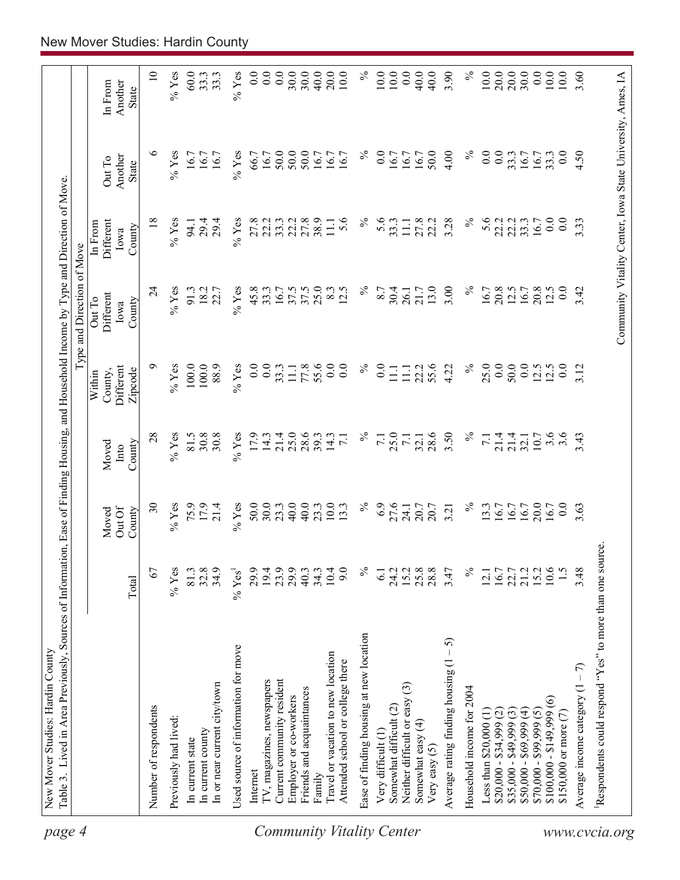| page 4                    | Table 3. Lived in Area Previously, Sources of Information, Ease of Finding Housing, and Household Income by Type and Direction of Move |                      |                           |                                              |                                           | Type and Direction of Move            |                                        |                                                            |                                    |
|---------------------------|----------------------------------------------------------------------------------------------------------------------------------------|----------------------|---------------------------|----------------------------------------------|-------------------------------------------|---------------------------------------|----------------------------------------|------------------------------------------------------------|------------------------------------|
|                           |                                                                                                                                        | Total                | Out Of<br>County<br>Moved | Moved<br>County<br>Into                      | Different<br>County,<br>Zipcode<br>Within | Different<br>Out To<br>County<br>Iowa | Different<br>In From<br>County<br>Iowa | Another<br>Out To<br>State                                 | Another<br>In From<br><b>State</b> |
|                           | Number of respondents                                                                                                                  | 67                   | $\overline{\mathcal{E}}$  | 28                                           | ∘                                         | $\overline{24}$                       | $\frac{8}{18}$                         | $\circ$                                                    | $\overline{10}$                    |
|                           | Previously had lived:                                                                                                                  | $%$ Yes              | $%$ Yes                   | $%$ Yes                                      | $\%$ Yes                                  | $%$ Yes                               | $\%$ Yes                               | $\%$ Yes                                                   | $\%$ Yes                           |
|                           |                                                                                                                                        |                      |                           |                                              |                                           |                                       |                                        |                                                            |                                    |
|                           | In current state                                                                                                                       | 81.3                 | 75.9                      | 81.5                                         | 100.0                                     | 91.3                                  | 94.1                                   | 16.7                                                       | 60.0                               |
|                           | In or near current city/town<br>In current county                                                                                      | 32.8<br>34.9         | 17.9<br>21.4              | 30.8<br>30.8                                 | 100.0<br>88.9                             | 18.2<br>22.7                          | 29.4<br>29.4                           | 16.7<br>16.7                                               | 33.3<br>33.3                       |
|                           | Used source of information for move                                                                                                    | $%$ Yes <sup>1</sup> | $%$ Yes                   | $%$ Yes                                      | $%$ Yes                                   | $%$ Yes                               | $\%$ Yes                               | $%$ Yes                                                    | $%$ Yes                            |
|                           |                                                                                                                                        |                      |                           |                                              |                                           |                                       |                                        |                                                            |                                    |
|                           | Internet                                                                                                                               | 29.9                 | 50.0                      | 17.9                                         | $\overline{0}$ .                          | 45.8                                  | 27.8                                   | 66.7                                                       | 0.0                                |
|                           | TV, magazines, newspapers                                                                                                              | 19.4                 | 30.0                      | 14.3                                         | 0.0                                       | 33.3                                  | 22.3                                   | 16.7                                                       | 0.0                                |
|                           | Current community resident                                                                                                             | 23.9                 | 23.3                      | 21.4                                         | 33.3                                      | 16.7                                  |                                        | 50.0                                                       | 0.0                                |
|                           | Employer or co-workers                                                                                                                 | 29.9                 | 40.0                      | $25.0$<br>$28.6$                             | $\Box$                                    | 37.5                                  | 22.2                                   | 50.0                                                       | 30.0                               |
|                           | Friends and acquaintances                                                                                                              | 40.3                 | 40.0                      |                                              | 77.8                                      | 37.5                                  | 27.8                                   | 50.0                                                       | 30.0                               |
|                           | Family                                                                                                                                 | 34.3                 | 23.3                      | 39.3                                         | 55.6                                      | 25.0                                  | 38.9                                   | 16.7                                                       | 40.0                               |
| Community Vitality Center | Travel or vacation to new location<br>Attended school or college there                                                                 | 10.4<br>9.0          | 10.0<br>13.3              | 14.3<br>$\overline{71}$                      | 0.0<br>0.0                                | 8.3<br>12.5                           | 5.6<br>$11.1\,$                        | 16.7<br>16.7                                               | 20.0<br>10.0                       |
|                           |                                                                                                                                        | $\%$                 | $\%$                      | $\%$                                         | $\%$                                      | $\%$                                  | $\%$                                   | $\%$                                                       | $\%$                               |
|                           | Ease of finding housing at new location                                                                                                |                      |                           |                                              |                                           |                                       |                                        |                                                            |                                    |
|                           | Very difficult (1)                                                                                                                     | $\overline{61}$      | 6.9                       | $\overline{7.1}$                             | 0.0                                       | 8.7                                   | 5.6                                    | 0.0                                                        | $10.0\,$                           |
|                           | Neither difficult or easy (3)<br>Somewhat difficult (2)                                                                                | 24.2<br>15.2         | 27.6<br>24.1              | 25.0<br>7.1                                  | $\Xi$<br>$\Xi$                            | 30.4<br>26.1                          | 33.3<br>$\Xi$                          | 16.7<br>16.7                                               | 10.0<br>0.0                        |
|                           | Somewhat easy (4)                                                                                                                      | 25.8                 | 20.7                      | 32.1                                         | 22.2                                      | 21.7                                  | 27.8                                   | 16.7                                                       | 40.0                               |
|                           | Very easy $(5)$                                                                                                                        | 28.8                 | 20.7                      | 28.6                                         | 55.6                                      | 13.0                                  | 22.2                                   | 50.0                                                       | 40.0                               |
|                           | 5<br>Average rating finding housing (1                                                                                                 | 3.47                 | 3.21                      | 3.50                                         | 4.22                                      | 3.00                                  | 3.28                                   | 4.00                                                       | 3.90                               |
|                           | Household income for 2004                                                                                                              | $\%$                 | $\%$                      | $\%$                                         | $\%$                                      | $\%$                                  | $\%$                                   | $\%$                                                       | $\%$                               |
|                           | Less than $$20,000$ $(1)$                                                                                                              | 12.1                 | 13.3                      | $\overline{71}$                              | 25.0                                      | 16.7                                  | 5.6                                    | $\overline{0.0}$                                           | 10.0                               |
|                           | $$20,000 - $34,999 (2)$                                                                                                                | 16.7                 | 16.7                      |                                              | 0.0                                       | 20.8                                  | 22.2                                   | 0.0                                                        | 20.0                               |
|                           | $$35,000 - $49,999(3)$                                                                                                                 | 22.7<br>21.2         | 16.7                      | $\frac{4}{21}$ $\frac{4}{21}$ $\frac{4}{21}$ | 50.0                                      | $12.5$<br>16.7                        | 22.2                                   | 33.3                                                       | $\frac{20.0}{30.0}$                |
|                           | $$50,000 - $69,999(4)$                                                                                                                 |                      | 16.7                      |                                              | 0.0                                       |                                       | 33.3                                   | 16.7                                                       |                                    |
|                           | $$70,000 - $99,999(5)$                                                                                                                 | 15.2                 | 20.0                      | 10.7                                         | 12.5                                      | 20.8                                  | 16.7                                   | 16.7                                                       | 0.0                                |
|                           | $\widehat{\circ}$<br>$$100,000 - $149,999$                                                                                             | 10.6                 | 16.7                      | 3.6                                          |                                           | 12.5                                  | 0.0                                    | 33.3                                                       | $10.0$                             |
|                           | \$150,000 or more (7)                                                                                                                  | 1.5                  | $\overline{0}$            | 3.6                                          | 0.0                                       | 0.0                                   | 0.0                                    | 0.0                                                        | 10.0                               |
|                           | Average income category $(1 - 7)$                                                                                                      | 3.48                 | 3.63                      | 3.43                                         | 3.12                                      | 3.42                                  | 3.33                                   | 4.50                                                       | 3.60                               |
| www.cvcia.org             | Respondents could respond "Yes" to more than one sour                                                                                  |                      | °C                        |                                              |                                           |                                       |                                        |                                                            |                                    |
|                           |                                                                                                                                        |                      |                           |                                              |                                           |                                       |                                        | Community Vitality Center, Iowa State University, Ames, IA |                                    |
|                           |                                                                                                                                        |                      |                           |                                              |                                           |                                       |                                        |                                                            |                                    |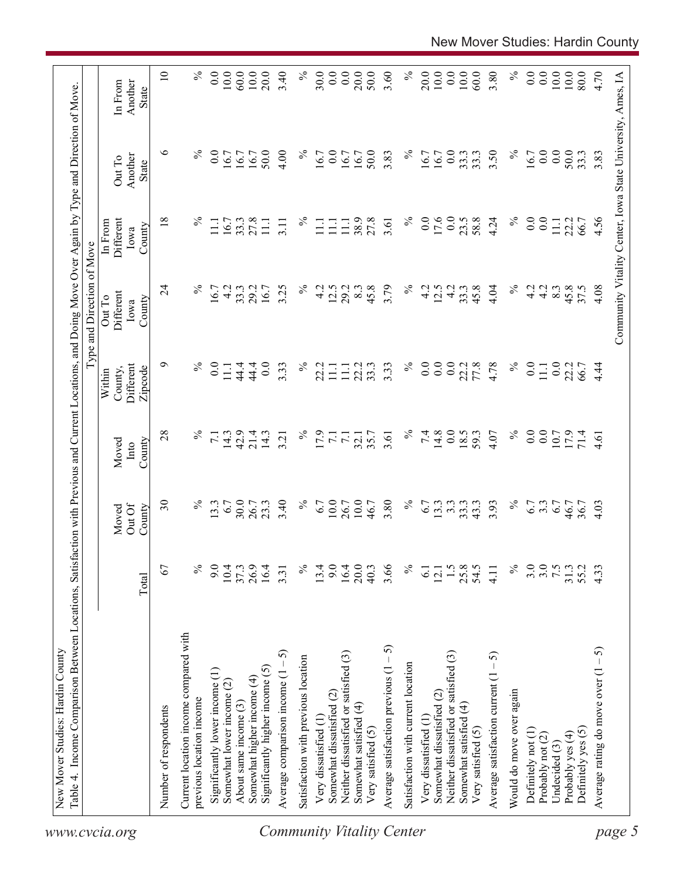| 60.0<br>3.80<br>80.0<br>Community Vitality Center, Iowa State University, Ames, IA<br>In From<br>Another<br>State<br>$\circ$<br>$\%$<br>$\%$<br>$\%$<br>$\%$<br>$\overline{0}$ .<br>50.0<br>4.00<br>0.0<br>50.0<br>0.0<br>3.50<br>16.7<br>0.0<br>$\overline{0.0}$<br>50.0<br>3.83<br>16.7<br>33.3<br>33.3<br>3.83<br>16.7<br>16.7<br>16.7<br>16.7<br>16.7<br>16.7<br>33.3<br>16.7<br>Another<br>Out To<br><b>State</b><br>$\%$<br>$\%$<br>17.6<br>0.0<br>$\%$<br>4.56<br>18<br>$\%$<br>38.9<br>27.8<br>$\overline{0}$ .<br>23.5<br>58.8<br>4.24<br>$\overline{0.0}$<br>0.0<br>27.8<br>Different<br>16.7<br>33.3<br>22.2<br>66.7<br>$\Xi$<br>$\Xi$<br>3.11<br>$\Xi$<br>11.1<br>3.61<br>$\overline{111}$<br>$\Xi$<br>In From<br>County<br>Iowa<br>$\%$<br>$\%$<br>4.08<br>$\overline{24}$<br>$\%$<br>3.25<br>$\%$<br>12.5<br>29.2<br>45.8<br>3.79<br>4.2<br>33.3<br>45.8<br>4.04<br>4.2<br>4.2<br>45.8<br>37.5<br>16.7<br>4.2<br>33.3<br>29.2<br>16.7<br>4.2<br>8.3<br>12.5<br>4.2<br>8.3<br>Different<br>Out To<br>County<br>Iowa<br>$\%$<br>$\%$<br>$\%$<br>0.0<br>$\%$<br>๑<br>0.0<br>44.4<br>0.0<br>0.0<br>$\overline{0.0}$<br>22.2<br>77.8<br>4.78<br>$\overline{0.0}$<br>0.0<br>Different<br>44.4<br>3.33<br>3.33<br>33.3<br>22.2<br>$\Xi$<br>22.2<br>22.2<br>$4\overline{4}$<br>$\overline{111}$<br>$\Xi$<br>11.1<br>66.7<br>County,<br>Zipcode<br>Within<br>$\%$<br>$\%$<br>$\%$<br>$14.8$<br>0.0<br>$\%$<br>28<br>7.4<br>4.07<br>$\overline{0.0}$<br>0.0<br>10.7<br>42.9<br>21.4<br>17.9<br>18.5<br>59.3<br>14.3<br>14.3<br>71.4<br>$\overline{71}$<br>3.21<br>$\overline{71}$<br>35.7<br>3.61<br>$\overline{7.1}$<br>32.1<br>4.61<br>County<br>Moved<br>Into<br>$\%$<br>30.0<br>3.40<br>$\%$<br>10.0<br>10.0<br>$\%$<br>$\%$<br>$\overline{\mathcal{E}}$<br>13.3<br>6.7<br>26.7<br>23.3<br>6.7<br>26.7<br>3.80<br>13.3<br>$3.\overline{3}$<br>33.3<br>$6.7$<br>$6.7$<br>$6.7$<br>$46.7$<br>46.7<br>6.7<br>43.3<br>3.93<br>36.7<br>4.03<br>Out Of<br>Moved<br>County<br>3.0<br>67<br>$\%$<br>9.0<br>26.9<br>$\%$<br>9.0<br>$16.4$<br>20.0<br>3.66<br>$\%$<br>1.5<br>25.8<br>54.5<br>$\%$<br>3.0<br>7.5<br>31.3<br>55.2<br>4.33<br>10.4<br>16.4<br>13.4<br>37.3<br>40.3<br>4.11<br>$\overline{61}$<br>12.1<br>3.31<br>Total<br>Current location income compared with<br>Average satisfaction previous $(1 - 5)$<br>ନ<br>Average comparison income $(1 - 5)$<br>Neither dissatisfied or satisfied (3)<br>Neither dissatisfied or satisfied (3)<br>Average satisfaction current $(1 - 5)$<br>Satisfaction with previous location<br>Average rating do move over $(1 -$<br>Satisfaction with current location<br>Significantly higher income (5)<br>Significantly lower income (1)<br>Somewhat higher income (4)<br>Somewhat lower income (2)<br>Would do move over again<br>Somewhat dissatisfied (2)<br>Somewhat dissatisfied (2)<br>previous location income<br>About same income (3)<br>Somewhat satisfied (4)<br>Somewhat satisfied (4)<br>Number of respondents<br>Very dissatisfied (1)<br>Very dissatisfied (1<br>Very satisfied (5)<br>Very satisfied (5)<br>Definitely yes (5)<br>Definitely not (1)<br>Probably yes (4)<br>Probably not (2)<br>Undecided (3)<br>www.cvcia.org |  |  |  | Type and Direction of Move |  |                 |
|---------------------------------------------------------------------------------------------------------------------------------------------------------------------------------------------------------------------------------------------------------------------------------------------------------------------------------------------------------------------------------------------------------------------------------------------------------------------------------------------------------------------------------------------------------------------------------------------------------------------------------------------------------------------------------------------------------------------------------------------------------------------------------------------------------------------------------------------------------------------------------------------------------------------------------------------------------------------------------------------------------------------------------------------------------------------------------------------------------------------------------------------------------------------------------------------------------------------------------------------------------------------------------------------------------------------------------------------------------------------------------------------------------------------------------------------------------------------------------------------------------------------------------------------------------------------------------------------------------------------------------------------------------------------------------------------------------------------------------------------------------------------------------------------------------------------------------------------------------------------------------------------------------------------------------------------------------------------------------------------------------------------------------------------------------------------------------------------------------------------------------------------------------------------------------------------------------------------------------------------------------------------------------------------------------------------------------------------------------------------------------------------------------------------------------------------------------------------------------------------------------------------------------------------------------------------------------------------------------------------------------------------------------------------------------------------------------------------------------------------------------------------------------------------------------------------------------------------------------------------------------------------------------------------------------------------------------------------------------------------------------------------------------------------------------------------------------------------------------------------------------------------------------------------------------------------|--|--|--|----------------------------|--|-----------------|
|                                                                                                                                                                                                                                                                                                                                                                                                                                                                                                                                                                                                                                                                                                                                                                                                                                                                                                                                                                                                                                                                                                                                                                                                                                                                                                                                                                                                                                                                                                                                                                                                                                                                                                                                                                                                                                                                                                                                                                                                                                                                                                                                                                                                                                                                                                                                                                                                                                                                                                                                                                                                                                                                                                                                                                                                                                                                                                                                                                                                                                                                                                                                                                                             |  |  |  |                            |  |                 |
|                                                                                                                                                                                                                                                                                                                                                                                                                                                                                                                                                                                                                                                                                                                                                                                                                                                                                                                                                                                                                                                                                                                                                                                                                                                                                                                                                                                                                                                                                                                                                                                                                                                                                                                                                                                                                                                                                                                                                                                                                                                                                                                                                                                                                                                                                                                                                                                                                                                                                                                                                                                                                                                                                                                                                                                                                                                                                                                                                                                                                                                                                                                                                                                             |  |  |  |                            |  | $\overline{10}$ |
|                                                                                                                                                                                                                                                                                                                                                                                                                                                                                                                                                                                                                                                                                                                                                                                                                                                                                                                                                                                                                                                                                                                                                                                                                                                                                                                                                                                                                                                                                                                                                                                                                                                                                                                                                                                                                                                                                                                                                                                                                                                                                                                                                                                                                                                                                                                                                                                                                                                                                                                                                                                                                                                                                                                                                                                                                                                                                                                                                                                                                                                                                                                                                                                             |  |  |  |                            |  | $\%$            |
| <b>Community Vitality Center</b>                                                                                                                                                                                                                                                                                                                                                                                                                                                                                                                                                                                                                                                                                                                                                                                                                                                                                                                                                                                                                                                                                                                                                                                                                                                                                                                                                                                                                                                                                                                                                                                                                                                                                                                                                                                                                                                                                                                                                                                                                                                                                                                                                                                                                                                                                                                                                                                                                                                                                                                                                                                                                                                                                                                                                                                                                                                                                                                                                                                                                                                                                                                                                            |  |  |  |                            |  |                 |
|                                                                                                                                                                                                                                                                                                                                                                                                                                                                                                                                                                                                                                                                                                                                                                                                                                                                                                                                                                                                                                                                                                                                                                                                                                                                                                                                                                                                                                                                                                                                                                                                                                                                                                                                                                                                                                                                                                                                                                                                                                                                                                                                                                                                                                                                                                                                                                                                                                                                                                                                                                                                                                                                                                                                                                                                                                                                                                                                                                                                                                                                                                                                                                                             |  |  |  |                            |  | 0.0             |
|                                                                                                                                                                                                                                                                                                                                                                                                                                                                                                                                                                                                                                                                                                                                                                                                                                                                                                                                                                                                                                                                                                                                                                                                                                                                                                                                                                                                                                                                                                                                                                                                                                                                                                                                                                                                                                                                                                                                                                                                                                                                                                                                                                                                                                                                                                                                                                                                                                                                                                                                                                                                                                                                                                                                                                                                                                                                                                                                                                                                                                                                                                                                                                                             |  |  |  |                            |  | $10.0\,$        |
|                                                                                                                                                                                                                                                                                                                                                                                                                                                                                                                                                                                                                                                                                                                                                                                                                                                                                                                                                                                                                                                                                                                                                                                                                                                                                                                                                                                                                                                                                                                                                                                                                                                                                                                                                                                                                                                                                                                                                                                                                                                                                                                                                                                                                                                                                                                                                                                                                                                                                                                                                                                                                                                                                                                                                                                                                                                                                                                                                                                                                                                                                                                                                                                             |  |  |  |                            |  | 60.0            |
|                                                                                                                                                                                                                                                                                                                                                                                                                                                                                                                                                                                                                                                                                                                                                                                                                                                                                                                                                                                                                                                                                                                                                                                                                                                                                                                                                                                                                                                                                                                                                                                                                                                                                                                                                                                                                                                                                                                                                                                                                                                                                                                                                                                                                                                                                                                                                                                                                                                                                                                                                                                                                                                                                                                                                                                                                                                                                                                                                                                                                                                                                                                                                                                             |  |  |  |                            |  | 10.0            |
|                                                                                                                                                                                                                                                                                                                                                                                                                                                                                                                                                                                                                                                                                                                                                                                                                                                                                                                                                                                                                                                                                                                                                                                                                                                                                                                                                                                                                                                                                                                                                                                                                                                                                                                                                                                                                                                                                                                                                                                                                                                                                                                                                                                                                                                                                                                                                                                                                                                                                                                                                                                                                                                                                                                                                                                                                                                                                                                                                                                                                                                                                                                                                                                             |  |  |  |                            |  | 20.0            |
|                                                                                                                                                                                                                                                                                                                                                                                                                                                                                                                                                                                                                                                                                                                                                                                                                                                                                                                                                                                                                                                                                                                                                                                                                                                                                                                                                                                                                                                                                                                                                                                                                                                                                                                                                                                                                                                                                                                                                                                                                                                                                                                                                                                                                                                                                                                                                                                                                                                                                                                                                                                                                                                                                                                                                                                                                                                                                                                                                                                                                                                                                                                                                                                             |  |  |  |                            |  | 3.40            |
|                                                                                                                                                                                                                                                                                                                                                                                                                                                                                                                                                                                                                                                                                                                                                                                                                                                                                                                                                                                                                                                                                                                                                                                                                                                                                                                                                                                                                                                                                                                                                                                                                                                                                                                                                                                                                                                                                                                                                                                                                                                                                                                                                                                                                                                                                                                                                                                                                                                                                                                                                                                                                                                                                                                                                                                                                                                                                                                                                                                                                                                                                                                                                                                             |  |  |  |                            |  | $\%$            |
|                                                                                                                                                                                                                                                                                                                                                                                                                                                                                                                                                                                                                                                                                                                                                                                                                                                                                                                                                                                                                                                                                                                                                                                                                                                                                                                                                                                                                                                                                                                                                                                                                                                                                                                                                                                                                                                                                                                                                                                                                                                                                                                                                                                                                                                                                                                                                                                                                                                                                                                                                                                                                                                                                                                                                                                                                                                                                                                                                                                                                                                                                                                                                                                             |  |  |  |                            |  | 30.0            |
|                                                                                                                                                                                                                                                                                                                                                                                                                                                                                                                                                                                                                                                                                                                                                                                                                                                                                                                                                                                                                                                                                                                                                                                                                                                                                                                                                                                                                                                                                                                                                                                                                                                                                                                                                                                                                                                                                                                                                                                                                                                                                                                                                                                                                                                                                                                                                                                                                                                                                                                                                                                                                                                                                                                                                                                                                                                                                                                                                                                                                                                                                                                                                                                             |  |  |  |                            |  | 0.0             |
|                                                                                                                                                                                                                                                                                                                                                                                                                                                                                                                                                                                                                                                                                                                                                                                                                                                                                                                                                                                                                                                                                                                                                                                                                                                                                                                                                                                                                                                                                                                                                                                                                                                                                                                                                                                                                                                                                                                                                                                                                                                                                                                                                                                                                                                                                                                                                                                                                                                                                                                                                                                                                                                                                                                                                                                                                                                                                                                                                                                                                                                                                                                                                                                             |  |  |  |                            |  | 0.0             |
|                                                                                                                                                                                                                                                                                                                                                                                                                                                                                                                                                                                                                                                                                                                                                                                                                                                                                                                                                                                                                                                                                                                                                                                                                                                                                                                                                                                                                                                                                                                                                                                                                                                                                                                                                                                                                                                                                                                                                                                                                                                                                                                                                                                                                                                                                                                                                                                                                                                                                                                                                                                                                                                                                                                                                                                                                                                                                                                                                                                                                                                                                                                                                                                             |  |  |  |                            |  | 20.0            |
|                                                                                                                                                                                                                                                                                                                                                                                                                                                                                                                                                                                                                                                                                                                                                                                                                                                                                                                                                                                                                                                                                                                                                                                                                                                                                                                                                                                                                                                                                                                                                                                                                                                                                                                                                                                                                                                                                                                                                                                                                                                                                                                                                                                                                                                                                                                                                                                                                                                                                                                                                                                                                                                                                                                                                                                                                                                                                                                                                                                                                                                                                                                                                                                             |  |  |  |                            |  | 50.0            |
|                                                                                                                                                                                                                                                                                                                                                                                                                                                                                                                                                                                                                                                                                                                                                                                                                                                                                                                                                                                                                                                                                                                                                                                                                                                                                                                                                                                                                                                                                                                                                                                                                                                                                                                                                                                                                                                                                                                                                                                                                                                                                                                                                                                                                                                                                                                                                                                                                                                                                                                                                                                                                                                                                                                                                                                                                                                                                                                                                                                                                                                                                                                                                                                             |  |  |  |                            |  | 3.60            |
|                                                                                                                                                                                                                                                                                                                                                                                                                                                                                                                                                                                                                                                                                                                                                                                                                                                                                                                                                                                                                                                                                                                                                                                                                                                                                                                                                                                                                                                                                                                                                                                                                                                                                                                                                                                                                                                                                                                                                                                                                                                                                                                                                                                                                                                                                                                                                                                                                                                                                                                                                                                                                                                                                                                                                                                                                                                                                                                                                                                                                                                                                                                                                                                             |  |  |  |                            |  | $\%$            |
|                                                                                                                                                                                                                                                                                                                                                                                                                                                                                                                                                                                                                                                                                                                                                                                                                                                                                                                                                                                                                                                                                                                                                                                                                                                                                                                                                                                                                                                                                                                                                                                                                                                                                                                                                                                                                                                                                                                                                                                                                                                                                                                                                                                                                                                                                                                                                                                                                                                                                                                                                                                                                                                                                                                                                                                                                                                                                                                                                                                                                                                                                                                                                                                             |  |  |  |                            |  | 20.0            |
|                                                                                                                                                                                                                                                                                                                                                                                                                                                                                                                                                                                                                                                                                                                                                                                                                                                                                                                                                                                                                                                                                                                                                                                                                                                                                                                                                                                                                                                                                                                                                                                                                                                                                                                                                                                                                                                                                                                                                                                                                                                                                                                                                                                                                                                                                                                                                                                                                                                                                                                                                                                                                                                                                                                                                                                                                                                                                                                                                                                                                                                                                                                                                                                             |  |  |  |                            |  | 10.0            |
|                                                                                                                                                                                                                                                                                                                                                                                                                                                                                                                                                                                                                                                                                                                                                                                                                                                                                                                                                                                                                                                                                                                                                                                                                                                                                                                                                                                                                                                                                                                                                                                                                                                                                                                                                                                                                                                                                                                                                                                                                                                                                                                                                                                                                                                                                                                                                                                                                                                                                                                                                                                                                                                                                                                                                                                                                                                                                                                                                                                                                                                                                                                                                                                             |  |  |  |                            |  | 0.0             |
|                                                                                                                                                                                                                                                                                                                                                                                                                                                                                                                                                                                                                                                                                                                                                                                                                                                                                                                                                                                                                                                                                                                                                                                                                                                                                                                                                                                                                                                                                                                                                                                                                                                                                                                                                                                                                                                                                                                                                                                                                                                                                                                                                                                                                                                                                                                                                                                                                                                                                                                                                                                                                                                                                                                                                                                                                                                                                                                                                                                                                                                                                                                                                                                             |  |  |  |                            |  | 10.0            |
|                                                                                                                                                                                                                                                                                                                                                                                                                                                                                                                                                                                                                                                                                                                                                                                                                                                                                                                                                                                                                                                                                                                                                                                                                                                                                                                                                                                                                                                                                                                                                                                                                                                                                                                                                                                                                                                                                                                                                                                                                                                                                                                                                                                                                                                                                                                                                                                                                                                                                                                                                                                                                                                                                                                                                                                                                                                                                                                                                                                                                                                                                                                                                                                             |  |  |  |                            |  |                 |
|                                                                                                                                                                                                                                                                                                                                                                                                                                                                                                                                                                                                                                                                                                                                                                                                                                                                                                                                                                                                                                                                                                                                                                                                                                                                                                                                                                                                                                                                                                                                                                                                                                                                                                                                                                                                                                                                                                                                                                                                                                                                                                                                                                                                                                                                                                                                                                                                                                                                                                                                                                                                                                                                                                                                                                                                                                                                                                                                                                                                                                                                                                                                                                                             |  |  |  |                            |  |                 |
|                                                                                                                                                                                                                                                                                                                                                                                                                                                                                                                                                                                                                                                                                                                                                                                                                                                                                                                                                                                                                                                                                                                                                                                                                                                                                                                                                                                                                                                                                                                                                                                                                                                                                                                                                                                                                                                                                                                                                                                                                                                                                                                                                                                                                                                                                                                                                                                                                                                                                                                                                                                                                                                                                                                                                                                                                                                                                                                                                                                                                                                                                                                                                                                             |  |  |  |                            |  | $\%$            |
|                                                                                                                                                                                                                                                                                                                                                                                                                                                                                                                                                                                                                                                                                                                                                                                                                                                                                                                                                                                                                                                                                                                                                                                                                                                                                                                                                                                                                                                                                                                                                                                                                                                                                                                                                                                                                                                                                                                                                                                                                                                                                                                                                                                                                                                                                                                                                                                                                                                                                                                                                                                                                                                                                                                                                                                                                                                                                                                                                                                                                                                                                                                                                                                             |  |  |  |                            |  | 0.0             |
|                                                                                                                                                                                                                                                                                                                                                                                                                                                                                                                                                                                                                                                                                                                                                                                                                                                                                                                                                                                                                                                                                                                                                                                                                                                                                                                                                                                                                                                                                                                                                                                                                                                                                                                                                                                                                                                                                                                                                                                                                                                                                                                                                                                                                                                                                                                                                                                                                                                                                                                                                                                                                                                                                                                                                                                                                                                                                                                                                                                                                                                                                                                                                                                             |  |  |  |                            |  | 0.0             |
|                                                                                                                                                                                                                                                                                                                                                                                                                                                                                                                                                                                                                                                                                                                                                                                                                                                                                                                                                                                                                                                                                                                                                                                                                                                                                                                                                                                                                                                                                                                                                                                                                                                                                                                                                                                                                                                                                                                                                                                                                                                                                                                                                                                                                                                                                                                                                                                                                                                                                                                                                                                                                                                                                                                                                                                                                                                                                                                                                                                                                                                                                                                                                                                             |  |  |  |                            |  | 10.0            |
| page 5                                                                                                                                                                                                                                                                                                                                                                                                                                                                                                                                                                                                                                                                                                                                                                                                                                                                                                                                                                                                                                                                                                                                                                                                                                                                                                                                                                                                                                                                                                                                                                                                                                                                                                                                                                                                                                                                                                                                                                                                                                                                                                                                                                                                                                                                                                                                                                                                                                                                                                                                                                                                                                                                                                                                                                                                                                                                                                                                                                                                                                                                                                                                                                                      |  |  |  |                            |  | 10.0            |
|                                                                                                                                                                                                                                                                                                                                                                                                                                                                                                                                                                                                                                                                                                                                                                                                                                                                                                                                                                                                                                                                                                                                                                                                                                                                                                                                                                                                                                                                                                                                                                                                                                                                                                                                                                                                                                                                                                                                                                                                                                                                                                                                                                                                                                                                                                                                                                                                                                                                                                                                                                                                                                                                                                                                                                                                                                                                                                                                                                                                                                                                                                                                                                                             |  |  |  |                            |  |                 |
|                                                                                                                                                                                                                                                                                                                                                                                                                                                                                                                                                                                                                                                                                                                                                                                                                                                                                                                                                                                                                                                                                                                                                                                                                                                                                                                                                                                                                                                                                                                                                                                                                                                                                                                                                                                                                                                                                                                                                                                                                                                                                                                                                                                                                                                                                                                                                                                                                                                                                                                                                                                                                                                                                                                                                                                                                                                                                                                                                                                                                                                                                                                                                                                             |  |  |  |                            |  | 4.70            |
|                                                                                                                                                                                                                                                                                                                                                                                                                                                                                                                                                                                                                                                                                                                                                                                                                                                                                                                                                                                                                                                                                                                                                                                                                                                                                                                                                                                                                                                                                                                                                                                                                                                                                                                                                                                                                                                                                                                                                                                                                                                                                                                                                                                                                                                                                                                                                                                                                                                                                                                                                                                                                                                                                                                                                                                                                                                                                                                                                                                                                                                                                                                                                                                             |  |  |  |                            |  |                 |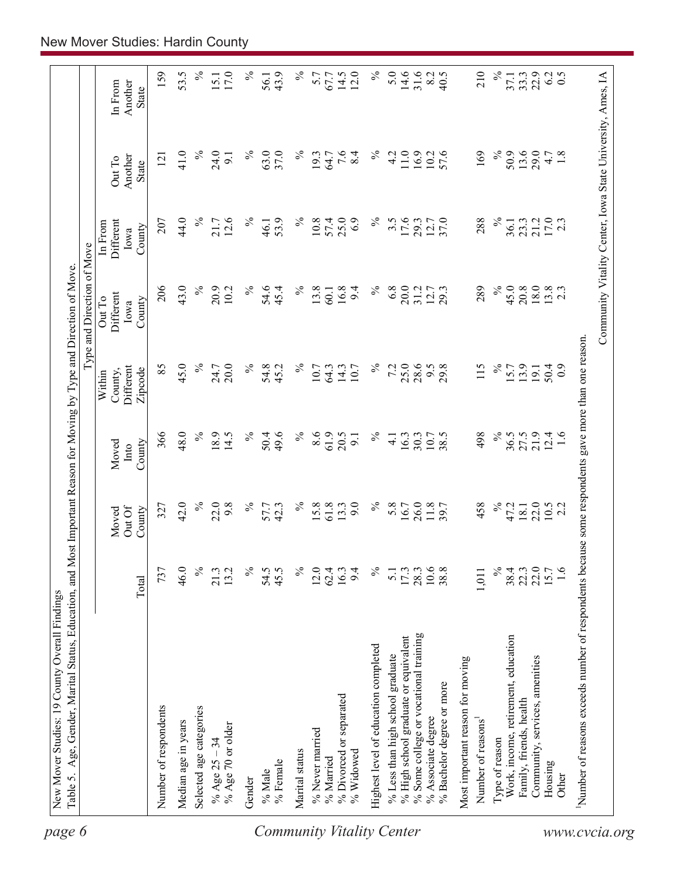| 159<br>53.5<br>$\%$<br>$\%$<br>5.0<br>14.6<br>31.6<br>$17.0\,$<br>$\%$<br>43.9<br>$\%$<br>14.5<br>12.0<br>40.5<br>210<br>℅<br>33.3<br>6.2<br>0.5<br>5.7<br>67.7<br>8.2<br>56.1<br>37.1<br>15.1<br>In From<br>Another<br>State<br>$\%$<br>$\%$<br>$7.\overline{6}$<br>8.4<br>$\%$<br>$11.0$ $\,$<br>$\%$<br>50.9<br>41.0<br>24.0<br>63.0<br>37.0<br>4.2<br>16.9<br>57.6<br>169<br>13.6<br>29.0<br>$4.7$<br>$1.8$<br>$\%$<br>19.3<br>64.7<br>10.2<br>121<br>9.1<br>Another<br>Out To<br><b>State</b><br>$\%$<br>12.6<br>$\%$<br>$17.0$<br>2.3<br>44.0<br>$\%$<br>53.9<br>$\%$<br>57.4<br>25.0<br>6.9<br>$\%$<br>$3.\overline{5}$<br>17.6<br>37.0<br>288<br>23.3<br>21.2<br>207<br>21.7<br>10.8<br>29.3<br>36.1<br><b>Different</b><br>46.1<br>12.7<br>In From<br>County<br>Iowa<br>$\%$<br>$\%$<br>206<br>43.0<br>$\%$<br>45.0<br>20.9<br>$\%$<br>54.6<br>13.8<br>16.8<br>$\%$<br>6.8<br>20.0<br>289<br>$\frac{20.8}{18.0}$<br>$13.8$<br>2.3<br>10.2<br>45.4<br>9.4<br>31.2<br>12.7<br>60.1<br>Different<br>Out To<br>County<br>Iowa<br>$\%$<br>45.0<br>$\%$<br>$\%$<br>25.0<br>$\%$<br>85<br>7.2<br>28.6<br>115<br>20.0<br>$\%$<br>54.8<br>45.2<br>9.5<br>29.8<br>13.9<br><b>Different</b><br>24.7<br>10.7<br>64.3<br>14.3<br>10.7<br>15.7<br>50.4<br>19.1<br>Zipcode<br>County,<br>Within<br>48.0<br>$\%$<br>61.9<br>$\%$<br>366<br>18.9<br>49.6<br>$\%$<br>8.6<br>20.5<br>$\%$<br>498<br>21.9<br>14.5<br>$\%$<br>50.4<br>38.5<br>36.5<br>27.5<br>12.4<br>1.6<br>16.3<br>30.3<br>10.7<br>9.1<br>$\overline{4}$ .<br>County<br>Moved<br>Into<br>$\%$<br>$\%$<br>$\%$<br>$\%$<br>42.0<br>22.0<br>$\%$<br>$15.8$<br>61.8<br>9.0<br>5.8<br>26.0<br>458<br>22.0<br>9.8<br>57.7<br>13.3<br>11.8<br>47.2<br>327<br>42.3<br>16.7<br>18.1<br>$10.5$<br>2.2<br>Out Of<br>County<br>Moved<br>$\frac{5}{6}$<br>$\%$<br>$\approx$<br>$22.3$<br>$22.0$<br>46.0<br>$\%$<br>54.5<br>$\%$<br>$10.6\,$<br>38.4<br>15.7<br>1.6<br>737<br>13.2<br>45.5<br>$12.0$<br>62.4<br>16.3<br>9.4<br>$17.3$<br>28.3<br>38.8<br>21.3<br>5.1<br>1,011<br>Total<br>% Some college or vocational training<br>% High school graduate or equivalent<br>Work, income, retirement, education<br>Highest level of education completed<br>% Less than high school graduate<br>Community, services, amenities<br>Most important reason for moving<br>% Bachelor degree or more<br>% Divorced or separated<br>Family, friends, health<br>Number of respondents<br>Selected age categories<br>% Associate degree<br>Number of reasons <sup>1</sup><br>Median age in years<br>% Age 70 or older<br>% Never married<br>Type of reason<br>% Age $25 - 34$<br>Marital status<br>% Widowed<br>% Married<br>% Female<br>Housing<br>% Male<br>Other<br>Gender | Community Vitality Center, Iowa State University, Ames, IA<br>Number of reasons exceeds number of respondents because some respondents gave more than one reason. |  |  | Type and Direction of Move |  |  |
|-------------------------------------------------------------------------------------------------------------------------------------------------------------------------------------------------------------------------------------------------------------------------------------------------------------------------------------------------------------------------------------------------------------------------------------------------------------------------------------------------------------------------------------------------------------------------------------------------------------------------------------------------------------------------------------------------------------------------------------------------------------------------------------------------------------------------------------------------------------------------------------------------------------------------------------------------------------------------------------------------------------------------------------------------------------------------------------------------------------------------------------------------------------------------------------------------------------------------------------------------------------------------------------------------------------------------------------------------------------------------------------------------------------------------------------------------------------------------------------------------------------------------------------------------------------------------------------------------------------------------------------------------------------------------------------------------------------------------------------------------------------------------------------------------------------------------------------------------------------------------------------------------------------------------------------------------------------------------------------------------------------------------------------------------------------------------------------------------------------------------------------------------------------------------------------------------------------------------------------------------------------------------------------------------------------------------------------------------------------------------------------------------------------------------------------------------------------------------------------------------------------------------------------------------------------------------------------------------------------------------------------------------------------------------------------------------------------|-------------------------------------------------------------------------------------------------------------------------------------------------------------------|--|--|----------------------------|--|--|
|                                                                                                                                                                                                                                                                                                                                                                                                                                                                                                                                                                                                                                                                                                                                                                                                                                                                                                                                                                                                                                                                                                                                                                                                                                                                                                                                                                                                                                                                                                                                                                                                                                                                                                                                                                                                                                                                                                                                                                                                                                                                                                                                                                                                                                                                                                                                                                                                                                                                                                                                                                                                                                                                                                             |                                                                                                                                                                   |  |  |                            |  |  |
|                                                                                                                                                                                                                                                                                                                                                                                                                                                                                                                                                                                                                                                                                                                                                                                                                                                                                                                                                                                                                                                                                                                                                                                                                                                                                                                                                                                                                                                                                                                                                                                                                                                                                                                                                                                                                                                                                                                                                                                                                                                                                                                                                                                                                                                                                                                                                                                                                                                                                                                                                                                                                                                                                                             |                                                                                                                                                                   |  |  |                            |  |  |
|                                                                                                                                                                                                                                                                                                                                                                                                                                                                                                                                                                                                                                                                                                                                                                                                                                                                                                                                                                                                                                                                                                                                                                                                                                                                                                                                                                                                                                                                                                                                                                                                                                                                                                                                                                                                                                                                                                                                                                                                                                                                                                                                                                                                                                                                                                                                                                                                                                                                                                                                                                                                                                                                                                             |                                                                                                                                                                   |  |  |                            |  |  |
|                                                                                                                                                                                                                                                                                                                                                                                                                                                                                                                                                                                                                                                                                                                                                                                                                                                                                                                                                                                                                                                                                                                                                                                                                                                                                                                                                                                                                                                                                                                                                                                                                                                                                                                                                                                                                                                                                                                                                                                                                                                                                                                                                                                                                                                                                                                                                                                                                                                                                                                                                                                                                                                                                                             |                                                                                                                                                                   |  |  |                            |  |  |
|                                                                                                                                                                                                                                                                                                                                                                                                                                                                                                                                                                                                                                                                                                                                                                                                                                                                                                                                                                                                                                                                                                                                                                                                                                                                                                                                                                                                                                                                                                                                                                                                                                                                                                                                                                                                                                                                                                                                                                                                                                                                                                                                                                                                                                                                                                                                                                                                                                                                                                                                                                                                                                                                                                             |                                                                                                                                                                   |  |  |                            |  |  |
|                                                                                                                                                                                                                                                                                                                                                                                                                                                                                                                                                                                                                                                                                                                                                                                                                                                                                                                                                                                                                                                                                                                                                                                                                                                                                                                                                                                                                                                                                                                                                                                                                                                                                                                                                                                                                                                                                                                                                                                                                                                                                                                                                                                                                                                                                                                                                                                                                                                                                                                                                                                                                                                                                                             |                                                                                                                                                                   |  |  |                            |  |  |
|                                                                                                                                                                                                                                                                                                                                                                                                                                                                                                                                                                                                                                                                                                                                                                                                                                                                                                                                                                                                                                                                                                                                                                                                                                                                                                                                                                                                                                                                                                                                                                                                                                                                                                                                                                                                                                                                                                                                                                                                                                                                                                                                                                                                                                                                                                                                                                                                                                                                                                                                                                                                                                                                                                             |                                                                                                                                                                   |  |  |                            |  |  |
|                                                                                                                                                                                                                                                                                                                                                                                                                                                                                                                                                                                                                                                                                                                                                                                                                                                                                                                                                                                                                                                                                                                                                                                                                                                                                                                                                                                                                                                                                                                                                                                                                                                                                                                                                                                                                                                                                                                                                                                                                                                                                                                                                                                                                                                                                                                                                                                                                                                                                                                                                                                                                                                                                                             |                                                                                                                                                                   |  |  |                            |  |  |
|                                                                                                                                                                                                                                                                                                                                                                                                                                                                                                                                                                                                                                                                                                                                                                                                                                                                                                                                                                                                                                                                                                                                                                                                                                                                                                                                                                                                                                                                                                                                                                                                                                                                                                                                                                                                                                                                                                                                                                                                                                                                                                                                                                                                                                                                                                                                                                                                                                                                                                                                                                                                                                                                                                             |                                                                                                                                                                   |  |  |                            |  |  |
|                                                                                                                                                                                                                                                                                                                                                                                                                                                                                                                                                                                                                                                                                                                                                                                                                                                                                                                                                                                                                                                                                                                                                                                                                                                                                                                                                                                                                                                                                                                                                                                                                                                                                                                                                                                                                                                                                                                                                                                                                                                                                                                                                                                                                                                                                                                                                                                                                                                                                                                                                                                                                                                                                                             |                                                                                                                                                                   |  |  |                            |  |  |
|                                                                                                                                                                                                                                                                                                                                                                                                                                                                                                                                                                                                                                                                                                                                                                                                                                                                                                                                                                                                                                                                                                                                                                                                                                                                                                                                                                                                                                                                                                                                                                                                                                                                                                                                                                                                                                                                                                                                                                                                                                                                                                                                                                                                                                                                                                                                                                                                                                                                                                                                                                                                                                                                                                             |                                                                                                                                                                   |  |  |                            |  |  |
|                                                                                                                                                                                                                                                                                                                                                                                                                                                                                                                                                                                                                                                                                                                                                                                                                                                                                                                                                                                                                                                                                                                                                                                                                                                                                                                                                                                                                                                                                                                                                                                                                                                                                                                                                                                                                                                                                                                                                                                                                                                                                                                                                                                                                                                                                                                                                                                                                                                                                                                                                                                                                                                                                                             |                                                                                                                                                                   |  |  |                            |  |  |
|                                                                                                                                                                                                                                                                                                                                                                                                                                                                                                                                                                                                                                                                                                                                                                                                                                                                                                                                                                                                                                                                                                                                                                                                                                                                                                                                                                                                                                                                                                                                                                                                                                                                                                                                                                                                                                                                                                                                                                                                                                                                                                                                                                                                                                                                                                                                                                                                                                                                                                                                                                                                                                                                                                             |                                                                                                                                                                   |  |  |                            |  |  |
|                                                                                                                                                                                                                                                                                                                                                                                                                                                                                                                                                                                                                                                                                                                                                                                                                                                                                                                                                                                                                                                                                                                                                                                                                                                                                                                                                                                                                                                                                                                                                                                                                                                                                                                                                                                                                                                                                                                                                                                                                                                                                                                                                                                                                                                                                                                                                                                                                                                                                                                                                                                                                                                                                                             |                                                                                                                                                                   |  |  |                            |  |  |
|                                                                                                                                                                                                                                                                                                                                                                                                                                                                                                                                                                                                                                                                                                                                                                                                                                                                                                                                                                                                                                                                                                                                                                                                                                                                                                                                                                                                                                                                                                                                                                                                                                                                                                                                                                                                                                                                                                                                                                                                                                                                                                                                                                                                                                                                                                                                                                                                                                                                                                                                                                                                                                                                                                             |                                                                                                                                                                   |  |  |                            |  |  |
|                                                                                                                                                                                                                                                                                                                                                                                                                                                                                                                                                                                                                                                                                                                                                                                                                                                                                                                                                                                                                                                                                                                                                                                                                                                                                                                                                                                                                                                                                                                                                                                                                                                                                                                                                                                                                                                                                                                                                                                                                                                                                                                                                                                                                                                                                                                                                                                                                                                                                                                                                                                                                                                                                                             |                                                                                                                                                                   |  |  |                            |  |  |
|                                                                                                                                                                                                                                                                                                                                                                                                                                                                                                                                                                                                                                                                                                                                                                                                                                                                                                                                                                                                                                                                                                                                                                                                                                                                                                                                                                                                                                                                                                                                                                                                                                                                                                                                                                                                                                                                                                                                                                                                                                                                                                                                                                                                                                                                                                                                                                                                                                                                                                                                                                                                                                                                                                             |                                                                                                                                                                   |  |  |                            |  |  |
|                                                                                                                                                                                                                                                                                                                                                                                                                                                                                                                                                                                                                                                                                                                                                                                                                                                                                                                                                                                                                                                                                                                                                                                                                                                                                                                                                                                                                                                                                                                                                                                                                                                                                                                                                                                                                                                                                                                                                                                                                                                                                                                                                                                                                                                                                                                                                                                                                                                                                                                                                                                                                                                                                                             |                                                                                                                                                                   |  |  |                            |  |  |
|                                                                                                                                                                                                                                                                                                                                                                                                                                                                                                                                                                                                                                                                                                                                                                                                                                                                                                                                                                                                                                                                                                                                                                                                                                                                                                                                                                                                                                                                                                                                                                                                                                                                                                                                                                                                                                                                                                                                                                                                                                                                                                                                                                                                                                                                                                                                                                                                                                                                                                                                                                                                                                                                                                             |                                                                                                                                                                   |  |  |                            |  |  |
|                                                                                                                                                                                                                                                                                                                                                                                                                                                                                                                                                                                                                                                                                                                                                                                                                                                                                                                                                                                                                                                                                                                                                                                                                                                                                                                                                                                                                                                                                                                                                                                                                                                                                                                                                                                                                                                                                                                                                                                                                                                                                                                                                                                                                                                                                                                                                                                                                                                                                                                                                                                                                                                                                                             |                                                                                                                                                                   |  |  |                            |  |  |
|                                                                                                                                                                                                                                                                                                                                                                                                                                                                                                                                                                                                                                                                                                                                                                                                                                                                                                                                                                                                                                                                                                                                                                                                                                                                                                                                                                                                                                                                                                                                                                                                                                                                                                                                                                                                                                                                                                                                                                                                                                                                                                                                                                                                                                                                                                                                                                                                                                                                                                                                                                                                                                                                                                             |                                                                                                                                                                   |  |  |                            |  |  |
|                                                                                                                                                                                                                                                                                                                                                                                                                                                                                                                                                                                                                                                                                                                                                                                                                                                                                                                                                                                                                                                                                                                                                                                                                                                                                                                                                                                                                                                                                                                                                                                                                                                                                                                                                                                                                                                                                                                                                                                                                                                                                                                                                                                                                                                                                                                                                                                                                                                                                                                                                                                                                                                                                                             |                                                                                                                                                                   |  |  |                            |  |  |
|                                                                                                                                                                                                                                                                                                                                                                                                                                                                                                                                                                                                                                                                                                                                                                                                                                                                                                                                                                                                                                                                                                                                                                                                                                                                                                                                                                                                                                                                                                                                                                                                                                                                                                                                                                                                                                                                                                                                                                                                                                                                                                                                                                                                                                                                                                                                                                                                                                                                                                                                                                                                                                                                                                             |                                                                                                                                                                   |  |  |                            |  |  |
|                                                                                                                                                                                                                                                                                                                                                                                                                                                                                                                                                                                                                                                                                                                                                                                                                                                                                                                                                                                                                                                                                                                                                                                                                                                                                                                                                                                                                                                                                                                                                                                                                                                                                                                                                                                                                                                                                                                                                                                                                                                                                                                                                                                                                                                                                                                                                                                                                                                                                                                                                                                                                                                                                                             |                                                                                                                                                                   |  |  |                            |  |  |
|                                                                                                                                                                                                                                                                                                                                                                                                                                                                                                                                                                                                                                                                                                                                                                                                                                                                                                                                                                                                                                                                                                                                                                                                                                                                                                                                                                                                                                                                                                                                                                                                                                                                                                                                                                                                                                                                                                                                                                                                                                                                                                                                                                                                                                                                                                                                                                                                                                                                                                                                                                                                                                                                                                             |                                                                                                                                                                   |  |  |                            |  |  |
|                                                                                                                                                                                                                                                                                                                                                                                                                                                                                                                                                                                                                                                                                                                                                                                                                                                                                                                                                                                                                                                                                                                                                                                                                                                                                                                                                                                                                                                                                                                                                                                                                                                                                                                                                                                                                                                                                                                                                                                                                                                                                                                                                                                                                                                                                                                                                                                                                                                                                                                                                                                                                                                                                                             |                                                                                                                                                                   |  |  |                            |  |  |
|                                                                                                                                                                                                                                                                                                                                                                                                                                                                                                                                                                                                                                                                                                                                                                                                                                                                                                                                                                                                                                                                                                                                                                                                                                                                                                                                                                                                                                                                                                                                                                                                                                                                                                                                                                                                                                                                                                                                                                                                                                                                                                                                                                                                                                                                                                                                                                                                                                                                                                                                                                                                                                                                                                             |                                                                                                                                                                   |  |  |                            |  |  |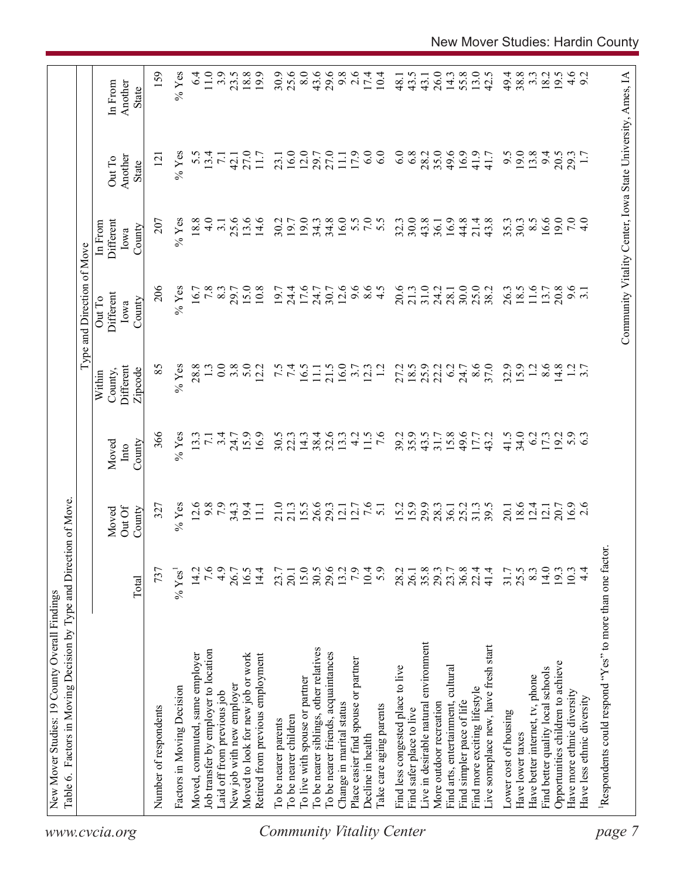|                                  | Table 6. Factors in Moving Decision by Type and Direction of Move. |                  |                           |                         |                                           | Type and Direction of Move            |                                        |                                                            |                                    |
|----------------------------------|--------------------------------------------------------------------|------------------|---------------------------|-------------------------|-------------------------------------------|---------------------------------------|----------------------------------------|------------------------------------------------------------|------------------------------------|
| www.cvcia.org                    |                                                                    | Total            | Out Of<br>County<br>Moved | County<br>Moved<br>Into | Different<br>Zipcode<br>County,<br>Within | Different<br>Out To<br>County<br>Iowa | Different<br>In From<br>County<br>Iowa | Another<br>Out To<br>State                                 | Another<br>In From<br><b>State</b> |
|                                  | Number of respondents                                              | 737              | 327                       | 366                     | 85                                        | 206                                   | 207                                    | $\overline{2}$                                             | 159                                |
|                                  | Factors in Moving Decision                                         | $\%$ Yes         | $%$ Yes                   | $%$ Yes                 | $%$ Yes                                   | $%$ Yes                               | $%$ Yes                                | $%$ Yes                                                    | $%$ Yes                            |
|                                  | Moved, commuted, same employer                                     | 14.2             | 12.6                      | 13.3                    | 28.8                                      | 16.7                                  | 18.8                                   | 5.5                                                        | 6.4                                |
|                                  | Job transfer by employer to location                               | 7.6              | 9.8                       | $\overline{7.1}$        |                                           | 7.8                                   | $\frac{0}{4}$                          | 13.4                                                       | 11.0                               |
|                                  | Laid off from previous job                                         | 4.9              | 7.9                       | 3.4                     | 0.0                                       | 8.3                                   | 3.1                                    | $\overline{71}$                                            | 3.9                                |
|                                  | New job with new employer                                          | 26.7             | $34.3$<br>19.4            | 24.7                    | 3.8                                       | 29.7                                  | 25.6                                   | 42.1                                                       | 23.5                               |
|                                  | Moved to look for new job or work                                  | 16.5             |                           | 15.9                    | 5.0                                       | 15.0                                  | 13.6                                   | 27.0                                                       | 18.8                               |
|                                  | Retired from previous employment                                   | 14.4             | $\Xi$                     | 16.9                    | 12.2                                      | 10.8                                  | 14.6                                   | 11.7                                                       | 19.9                               |
|                                  | To be nearer parents                                               | 23.7             | 21.0                      | 30.5                    |                                           | 19.7                                  | 30.2                                   | 23.1                                                       | 30.9                               |
|                                  | To be nearer children                                              | 20.1             | 21.3                      | 22.3                    | 7.5                                       | 24.4                                  | 19.7                                   | 16.0                                                       | 25.6                               |
|                                  | To live with spouse or partner                                     |                  | 15.5                      | 14.3                    | 16.5                                      | 17.6                                  | 19.0                                   | 12.0                                                       | 8.0                                |
|                                  | To be nearer siblings, other relatives                             | $15.0$<br>$30.5$ | 26.6                      | 38.4                    | $\Xi$                                     | 24.7                                  | 34.3                                   | 29.7                                                       | 43.6                               |
|                                  | To be nearer friends, acquaintances                                | 29.6             | 29.3                      | 32.6                    | 21.5                                      | 30.7                                  | 34.8                                   | 27.0                                                       | 29.6                               |
|                                  | Change in marital status                                           | 13.2             | 12.1                      | 13.3                    | 16.0                                      | 12.6                                  | 16.0                                   | $\overline{111}$                                           | 9.8                                |
|                                  | Place easier find spouse or partner                                | 7.9              | 12.7                      | $\frac{1}{4}$           | 3.7                                       | 9.6                                   |                                        | 17.9                                                       | 2.6                                |
|                                  | Decline in health                                                  | 10.4             | 7.6                       | 11.5                    | 12.3                                      | $\frac{6}{4}$ .5                      | 5.0000                                 | 6.0                                                        | 17.4                               |
| <b>Community Vitality Center</b> | Take care aging parents                                            | 5.9              | $\overline{51}$           | $\overline{7.6}$        | $\overline{12}$                           |                                       |                                        | 6.0                                                        | 10.4                               |
|                                  | Find less congested place to live                                  | 28.2             | 15.2                      | 39.2                    | 27.2                                      | 20.6                                  | 32.3                                   | 6.0                                                        | 48.1                               |
|                                  | Find safer place to live                                           | 26.1             | 15.9                      | 35.9                    | 18.5                                      | 21.3                                  | 30.0                                   | 6.8                                                        | 43.5                               |
|                                  | Live in desirable natural environment                              | 35.8             | 29.9                      | 43.5                    | 25.9                                      | 31.0                                  | 43.8                                   | 28.2                                                       | 43.1                               |
|                                  | More outdoor recreation                                            | 29.3             | 28.3                      | 31.7                    | 22.2                                      | 24.2                                  | 36.1                                   | 35.0                                                       | 26.0                               |
|                                  | Find arts, entertainment, cultural                                 | 23.7             | 36.1                      | 15.8                    | 6.2                                       | 28.1                                  | 16.9                                   | 49.6                                                       | 14.3                               |
|                                  | Find simpler pace of life                                          | $36.8$<br>$22.4$ | 25.2                      | 49.6                    | 24.7                                      | 30.0                                  | 44.8                                   | 16.9                                                       | 55.8                               |
|                                  | Find more exciting lifestyle                                       |                  | 31.3                      | 17.7                    | 8.6                                       | 25.0                                  | 21.4                                   | 41.9                                                       | 13.0                               |
|                                  | Live someplace new, have fresh start                               | 41.4             | 39.5                      | 43.2                    | 37.0                                      | 38.2                                  | 43.8                                   | 41.7                                                       | 42.5                               |
|                                  | Lower cost of housing                                              | 31.7             | 20.1                      | 41.5                    | 32.9                                      | 26.3                                  | 35.3                                   | 9.5                                                        | 49.4                               |
|                                  | Have lower taxes                                                   | 25.5             | 18.6                      | 34.0                    | 15.9                                      | 18.5                                  | 30.3                                   | 19.0                                                       | 38.8                               |
|                                  | Have better internet, tv, phone                                    | 8.3              | 12.4                      | 6.2                     | 1.2                                       | 11.6                                  | $8.\overline{5}$                       | 13.8                                                       | $3.\overline{3}$                   |
|                                  | Find better quality local schools                                  | 14.0             | 12.1                      | 17.3                    | 8.6                                       | 13.7                                  | 16.6                                   | 94                                                         | 18.2                               |
|                                  | Opportunities children to achieve                                  | 193              | 20.7                      | 19.2                    | 14.8                                      | 20.8                                  | 19.0                                   | 20.5                                                       | 19.5                               |
|                                  | Have more ethnic diversity                                         | 10.3             | $16.9$<br>2.6             | 5.9                     |                                           | 9.6                                   | 7.0                                    | 29.3                                                       |                                    |
|                                  | Have less ethnic diversity                                         | $\frac{4}{4}$    |                           |                         | $\frac{1}{3}$ .7                          |                                       | $\frac{1}{4}$                          |                                                            | $4.6$<br>9.2                       |
| page                             | Respondents could respond "Yes" to more than one factor            |                  |                           |                         |                                           |                                       |                                        |                                                            |                                    |
|                                  |                                                                    |                  |                           |                         |                                           |                                       |                                        |                                                            |                                    |
|                                  |                                                                    |                  |                           |                         |                                           |                                       |                                        | Community Vitality Center, Iowa State University, Ames, IA |                                    |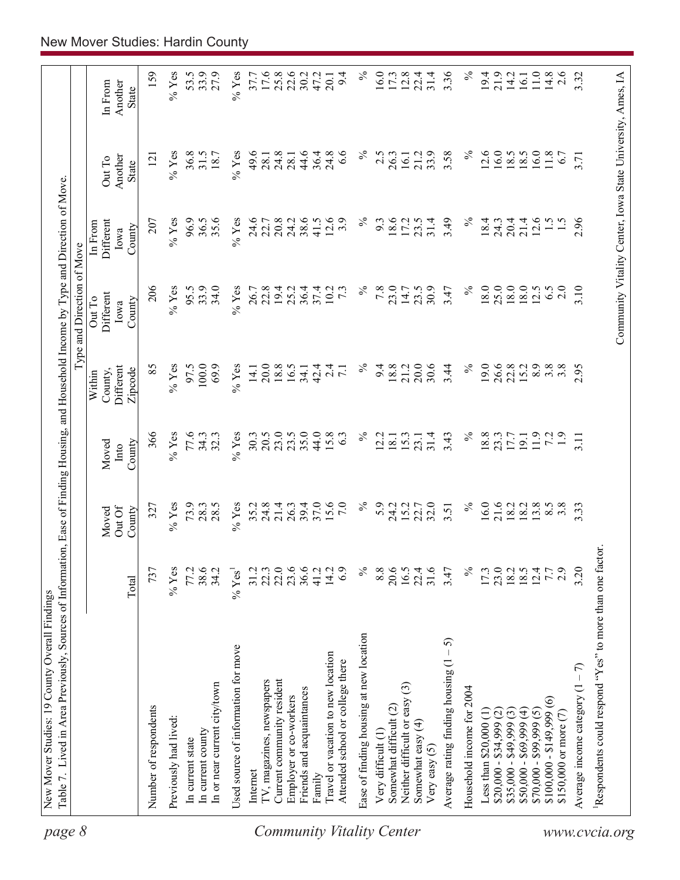| 8<br>page                        | Table 7. Lived in Area Previously, Sources of Information, Ease of Finding Housing, and Household Income by Type and Direction of Move |                       |                          |                         |                                           | Type and Direction of Move                                 |                                        |                            |                             |
|----------------------------------|----------------------------------------------------------------------------------------------------------------------------------------|-----------------------|--------------------------|-------------------------|-------------------------------------------|------------------------------------------------------------|----------------------------------------|----------------------------|-----------------------------|
|                                  |                                                                                                                                        | Total                 | OutOf<br>Moved<br>County | County<br>Moved<br>Into | Different<br>County,<br>Zipcode<br>Within | Different<br>Out To<br>County<br>Iowa                      | Different<br>In From<br>County<br>lowa | Another<br>Out To<br>State | Another<br>In From<br>State |
|                                  | Number of respondents                                                                                                                  | 737                   | 327                      | 366                     | 85                                        | 206                                                        | 207                                    | 121                        | 159                         |
|                                  | Previously had lived:                                                                                                                  | $%$ Yes               | $%$ Yes                  | $\%$ Yes                | $%$ Yes                                   | $%$ Yes                                                    | $%$ Yes                                | $%$ Yes                    | $\%$ Yes                    |
|                                  | In current state                                                                                                                       | 77.2                  | 73.9                     | 77.6                    | 97.5                                      | 95.5                                                       | 96.9                                   | 36.8                       | 53.5                        |
|                                  | In current county                                                                                                                      |                       | 28.3                     | 34.3                    | 100.0                                     | 33.9                                                       | 36.5                                   | 31.5                       | 33.9                        |
|                                  | In or near current city/town                                                                                                           | 38.6                  | 28.5                     | 32.3                    | 69.9                                      | 34.0                                                       | 35.6                                   | 18.7                       | 27.9                        |
|                                  | Used source of information for move                                                                                                    | $\%$ Yes <sup>1</sup> | $%$ Yes                  | $%$ Yes                 | $%$ Yes                                   | $%$ Yes                                                    | $%$ Yes                                | $%$ Yes                    | $\%$ Yes                    |
|                                  | Internet                                                                                                                               | 31.2                  | 35.2                     | 30.3                    | 14.1                                      | 26.7                                                       | 24.6                                   | 49.6                       | 37.7                        |
|                                  | TV, magazines, newspapers                                                                                                              | 22.3                  | 24.8                     | 20.5                    | 20.0                                      | 22.8                                                       | 22.7                                   | 28.1                       | 17.6                        |
|                                  | Current community resident                                                                                                             | 22.0                  | 21.4                     | 23.0                    | 18.8                                      | 19.4                                                       | 20.8                                   | 24.8                       | 25.8                        |
|                                  | Employer or co-workers                                                                                                                 | 23.6                  | 26.3                     | 23.5                    | 16.5                                      | 25.2                                                       | 24.2                                   | 28.1                       | 22.6                        |
|                                  | Friends and acquaintances                                                                                                              |                       | 39.4<br>37.0             | 35.0                    | 34.1                                      | 36.4                                                       | 38.6                                   | 44.6                       | 30.2                        |
|                                  | Family                                                                                                                                 | 41.2                  |                          | 44.0                    | 42.4                                      | 37.4                                                       | 41.5                                   | 36.4                       | 47.2                        |
| <b>Community Vitality Center</b> | Travel or vacation to new location<br>Attended school or college there                                                                 | 14.2<br>6.9           | $15.6$<br>7.0            | 15.8<br>63              | $\overline{c}$<br>$\overline{7}$          | 10.2<br>$7\ddot{3}$                                        | 12.6<br>3.9                            | 24.8<br>6.6                | 9.4<br>20.1                 |
|                                  | Ease of finding housing at new location                                                                                                | $\%$                  | $\%$                     | $\%$                    | $\%$                                      | $\%$                                                       | ℅                                      | ℅                          | $\%$                        |
|                                  | Very difficult (1)                                                                                                                     | 8.8                   | 5.9                      | 12.2                    | 9.4                                       | 7.8                                                        | 9.3                                    | 2.5                        | 16.0                        |
|                                  | Somewhat difficult (2)                                                                                                                 | 20.6                  | 24.2                     | 18.1                    | 18.8                                      | 23.0                                                       | 18.6                                   | 26.3                       | 17.3                        |
|                                  | $\widehat{\mathbb{C}}$<br>Neither difficult or easy                                                                                    | 16.5                  | 15.2                     | 15.3                    | 21.2                                      | 14.7                                                       | 17.2                                   | 16.1                       | 12.8                        |
|                                  | Somewhat easy (4)<br>Very easy $(5)$                                                                                                   | 22.4<br>31.6          | 22.7                     | 31.4<br>23.1            | 30.6<br>20.0                              | 30.9<br>23.5                                               | 23.5<br>31.4                           | 33.9<br>21.2               | 22.4<br>31.4                |
|                                  | 5<br>$\mathbf I$<br>Average rating finding housing (1                                                                                  | 3.47                  | 3.51                     | 3.43                    | 3.44                                      | 3.47                                                       | 3.49                                   | 3.58                       | 3.36                        |
|                                  | Household income for 2004                                                                                                              | $\%$                  | $\%$                     | $\%$                    | $\%$                                      | $\%$                                                       | $\%$                                   | $\%$                       | $\%$                        |
|                                  | Less than \$20,000 (1                                                                                                                  | 17.3                  | 16.0                     | 18.8                    | 19.0                                      | 18.0                                                       | 18.4                                   | 12.6                       | 19.4                        |
|                                  | $$20,000 - $34,999$ (2)                                                                                                                | 23.0                  | 21.6<br>18.2             | 23.3                    | 26.6                                      | 25.0                                                       | 24.3                                   | 16.0                       | 21.9                        |
|                                  | $$35,000 - $49,999$ (3)                                                                                                                | $\frac{18.5}{18.5}$   |                          | 17.7                    | 22.8                                      | 18.0                                                       | 20.4                                   | 18.5                       | 14.2                        |
|                                  | $$50,000 - $69,999(4)$                                                                                                                 |                       | 18.2                     | 19.1                    | 15.2                                      | 18.0                                                       | 21.4                                   | 18.5                       | 16.1                        |
|                                  | $$70,000 - $99,999(5)$                                                                                                                 |                       | 13.8                     | 11.9                    | 8.8                                       | 12.5                                                       | 12.6                                   | 16.0                       | $11.0\,$                    |
|                                  | $\widehat{\circ}$<br>$$100,000 - $149,999$                                                                                             | 7.7                   | 8.5                      | 72                      |                                           | 6.5                                                        | $\frac{1}{2}$                          | 11.8                       | 14.8                        |
|                                  | $$150,000$ or more $(7)$                                                                                                               | 2.9                   | $3.\overline{8}$         | $\ddot{1}$ .            | 3.8                                       | 2.0                                                        |                                        | 6.7                        | 2.6                         |
|                                  | Average income category $(1 - 7)$                                                                                                      | 3.20                  | 3.33                     | 3.11                    | 2.95                                      | 3.10                                                       | 2.96                                   | 3.71                       | 3.32                        |
| www.cvcia.org                    | Respondents could respond "Yes" to more than one factor.                                                                               |                       |                          |                         |                                           |                                                            |                                        |                            |                             |
|                                  |                                                                                                                                        |                       |                          |                         |                                           | Community Vitality Center, Iowa State University, Ames, IA |                                        |                            |                             |
|                                  |                                                                                                                                        |                       |                          |                         |                                           |                                                            |                                        |                            |                             |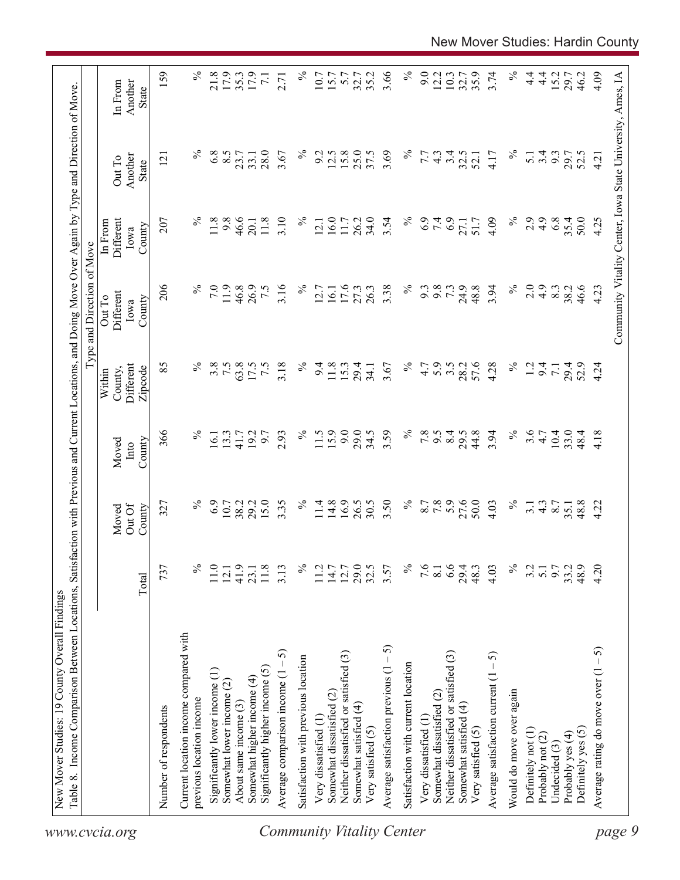| 159<br>3.66<br>$\%$<br>$\%$<br>$\%$<br>21.8<br>17.9<br>$\%$<br>9.0<br>3.74<br>$4\frac{4}{1}$<br>4.09<br>17.9<br>35.2<br>12.2<br>10.3<br>35.9<br>$\frac{4}{1}$<br>15.2<br>Community Vitality Center, Iowa State University, Ames, IA<br>35.3<br>10.7<br>15.7<br>5.7<br>32.7<br>32.7<br>29.7<br>46.2<br>$\overline{7.1}$<br>2.71<br>Another<br>In From<br>State<br>$\%$<br>$\%$<br>$\%$<br>6.8<br>8.5<br>28.0<br>$\%$<br>12.5<br>15.8<br>25.0<br>37.5<br>3.69<br>3.4<br>3.67<br>9.2<br>32.5<br>3.4<br>9.3<br>7.7<br>$4\degree$<br>4.17<br>$\overline{5.1}$<br>29.7<br>52.5<br>23.7<br>33.1<br>52.1<br>4.21<br>Another<br>$\overline{2}$<br>Out To<br>State<br>$\%$<br>$\%$<br>11.8<br>9.8<br>46.6<br>3.10<br>16.0<br>34.0<br>$\%$<br>6.9<br>7.4<br>6.9<br>2.9<br>4.9<br>6.8<br>35.4<br>50.0<br>207<br>11.8<br>$\%$<br>26.2<br>3.54<br>4.09<br>4.25<br>Different<br>11.7<br>51.7<br>27.1<br>20.1<br>12.1<br>In From<br>County<br>Iowa<br>206<br>$\%$<br>$\%$<br>$\%$<br>7.0<br>11.9<br>46.8<br>3.16<br>$\%$<br>3.38<br>9.8<br>73<br>24.9<br>48.8<br>3.94<br>2.0<br>4.9<br>26.9<br>7.5<br>17.6<br>27.3<br>26.3<br>9.3<br>8.3<br>38.2<br>46.6<br>4.23<br>12.7<br>16.1<br>Different<br>Out To<br>County<br>Iowa<br>$\%$<br>$\%$<br>5.9<br>57.6<br>$\%$<br>85<br>3.8<br>7.5<br>63.8<br>3.18<br>$\%$<br>3.5<br>4.28<br>Different<br>17.5<br>$\overline{7.5}$<br>9.4<br>11.8<br>15.3<br>3.67<br>4.7<br>28.2<br>1.2<br>9.4<br>29.4<br>29.4<br>52.9<br>4.24<br>34.1<br>$\overline{7}$ .<br>County,<br>Zipcode<br>Within<br>15.9<br>9.0<br>3.59<br>$\%$<br>$\%$<br>3.6<br>366<br>$\%$<br>$\%$<br>29.0<br>34.5<br>7.8<br>8.4<br>44.8<br>3.94<br>$10.4\,$<br>33.0<br>2.93<br>11.5<br>6.6<br>29.5<br>4.18<br>13.3<br>192<br>6.7<br>4.7<br>48.4<br>16.1<br>41.7<br>County<br>Moved<br>Into<br>6.9<br>15.0<br>16.9<br>26.5<br>$\%$<br>7.8<br>27.6<br>50.0<br>$\%$<br>$\%$<br>29.2<br>3.35<br>$\%$<br>14.8<br>30.5<br>3.50<br>8.7<br>48.8<br>10.7<br>38.2<br>11.4<br>$\frac{4.3}{8.7}$<br>4.22<br>327<br>4.03<br>3.1<br>35.1<br>Out Of<br>County<br>Moved<br>$\%$<br>29.0<br>$\%$<br>6.6<br>$\%$<br>4.20<br>737<br>℅<br>41.9<br>32.5<br>7.6<br>4.03<br>9.7<br>48.9<br>11.0<br>$11.8$<br>3.13<br>11.2<br>$14.7$<br>12.7<br>3.57<br>29.4<br>48.3<br>3.2<br>33.2<br>$\overline{5.1}$<br>12.1<br>23.1<br>$\overline{8.1}$<br>Total<br>Current location income compared with<br>Average satisfaction previous $(1 - 5)$<br>Average rating do move over $(1 - 5)$<br>5<br>Neither dissatisfied or satisfied (3)<br>Neither dissatisfied or satisfied (3)<br>Average satisfaction current $(1 - 5)$<br>Satisfaction with previous location<br>Satisfaction with current location<br>Significantly higher income (5)<br>Significantly lower income (1)<br>Average comparison income (1<br>Somewhat higher income (4)<br>Somewhat lower income (2)<br>Would do move over again<br>Somewhat dissatisfied (2)<br>Somewhat dissatisfied (2)<br>previous location income<br>About same income (3)<br>Somewhat satisfied (4)<br>Somewhat satisfied (4)<br>Number of respondents<br>Very dissatisfied (1<br>Very dissatisfied (1<br>Very satisfied (5)<br>Very satisfied (5)<br>Definitely yes (5)<br>Definitely not (1)<br>Probably yes (4)<br>Probably not (2)<br>Undecided (3)<br>www.cvcia.org | Table 8. Income Comparison Between Locations, | Satisfa |  | action with Previous and Current Locations, and Doing Move Over Again by Type and Direction of Move<br>Type and Direction of Move |  |  |
|-------------------------------------------------------------------------------------------------------------------------------------------------------------------------------------------------------------------------------------------------------------------------------------------------------------------------------------------------------------------------------------------------------------------------------------------------------------------------------------------------------------------------------------------------------------------------------------------------------------------------------------------------------------------------------------------------------------------------------------------------------------------------------------------------------------------------------------------------------------------------------------------------------------------------------------------------------------------------------------------------------------------------------------------------------------------------------------------------------------------------------------------------------------------------------------------------------------------------------------------------------------------------------------------------------------------------------------------------------------------------------------------------------------------------------------------------------------------------------------------------------------------------------------------------------------------------------------------------------------------------------------------------------------------------------------------------------------------------------------------------------------------------------------------------------------------------------------------------------------------------------------------------------------------------------------------------------------------------------------------------------------------------------------------------------------------------------------------------------------------------------------------------------------------------------------------------------------------------------------------------------------------------------------------------------------------------------------------------------------------------------------------------------------------------------------------------------------------------------------------------------------------------------------------------------------------------------------------------------------------------------------------------------------------------------------------------------------------------------------------------------------------------------------------------------------------------------------------------------------------------------------------------------------------------------------------------------------------------------------------------------------------------------------------------------------------------------------------------------------------------------------------------------------------------------------------------------------------------------------------------------------------|-----------------------------------------------|---------|--|-----------------------------------------------------------------------------------------------------------------------------------|--|--|
|                                                                                                                                                                                                                                                                                                                                                                                                                                                                                                                                                                                                                                                                                                                                                                                                                                                                                                                                                                                                                                                                                                                                                                                                                                                                                                                                                                                                                                                                                                                                                                                                                                                                                                                                                                                                                                                                                                                                                                                                                                                                                                                                                                                                                                                                                                                                                                                                                                                                                                                                                                                                                                                                                                                                                                                                                                                                                                                                                                                                                                                                                                                                                                                                                                                                   |                                               |         |  |                                                                                                                                   |  |  |
|                                                                                                                                                                                                                                                                                                                                                                                                                                                                                                                                                                                                                                                                                                                                                                                                                                                                                                                                                                                                                                                                                                                                                                                                                                                                                                                                                                                                                                                                                                                                                                                                                                                                                                                                                                                                                                                                                                                                                                                                                                                                                                                                                                                                                                                                                                                                                                                                                                                                                                                                                                                                                                                                                                                                                                                                                                                                                                                                                                                                                                                                                                                                                                                                                                                                   |                                               |         |  |                                                                                                                                   |  |  |
| page 9<br><b>Community Vitality Center</b>                                                                                                                                                                                                                                                                                                                                                                                                                                                                                                                                                                                                                                                                                                                                                                                                                                                                                                                                                                                                                                                                                                                                                                                                                                                                                                                                                                                                                                                                                                                                                                                                                                                                                                                                                                                                                                                                                                                                                                                                                                                                                                                                                                                                                                                                                                                                                                                                                                                                                                                                                                                                                                                                                                                                                                                                                                                                                                                                                                                                                                                                                                                                                                                                                        |                                               |         |  |                                                                                                                                   |  |  |
|                                                                                                                                                                                                                                                                                                                                                                                                                                                                                                                                                                                                                                                                                                                                                                                                                                                                                                                                                                                                                                                                                                                                                                                                                                                                                                                                                                                                                                                                                                                                                                                                                                                                                                                                                                                                                                                                                                                                                                                                                                                                                                                                                                                                                                                                                                                                                                                                                                                                                                                                                                                                                                                                                                                                                                                                                                                                                                                                                                                                                                                                                                                                                                                                                                                                   |                                               |         |  |                                                                                                                                   |  |  |
|                                                                                                                                                                                                                                                                                                                                                                                                                                                                                                                                                                                                                                                                                                                                                                                                                                                                                                                                                                                                                                                                                                                                                                                                                                                                                                                                                                                                                                                                                                                                                                                                                                                                                                                                                                                                                                                                                                                                                                                                                                                                                                                                                                                                                                                                                                                                                                                                                                                                                                                                                                                                                                                                                                                                                                                                                                                                                                                                                                                                                                                                                                                                                                                                                                                                   |                                               |         |  |                                                                                                                                   |  |  |
|                                                                                                                                                                                                                                                                                                                                                                                                                                                                                                                                                                                                                                                                                                                                                                                                                                                                                                                                                                                                                                                                                                                                                                                                                                                                                                                                                                                                                                                                                                                                                                                                                                                                                                                                                                                                                                                                                                                                                                                                                                                                                                                                                                                                                                                                                                                                                                                                                                                                                                                                                                                                                                                                                                                                                                                                                                                                                                                                                                                                                                                                                                                                                                                                                                                                   |                                               |         |  |                                                                                                                                   |  |  |
|                                                                                                                                                                                                                                                                                                                                                                                                                                                                                                                                                                                                                                                                                                                                                                                                                                                                                                                                                                                                                                                                                                                                                                                                                                                                                                                                                                                                                                                                                                                                                                                                                                                                                                                                                                                                                                                                                                                                                                                                                                                                                                                                                                                                                                                                                                                                                                                                                                                                                                                                                                                                                                                                                                                                                                                                                                                                                                                                                                                                                                                                                                                                                                                                                                                                   |                                               |         |  |                                                                                                                                   |  |  |
|                                                                                                                                                                                                                                                                                                                                                                                                                                                                                                                                                                                                                                                                                                                                                                                                                                                                                                                                                                                                                                                                                                                                                                                                                                                                                                                                                                                                                                                                                                                                                                                                                                                                                                                                                                                                                                                                                                                                                                                                                                                                                                                                                                                                                                                                                                                                                                                                                                                                                                                                                                                                                                                                                                                                                                                                                                                                                                                                                                                                                                                                                                                                                                                                                                                                   |                                               |         |  |                                                                                                                                   |  |  |
|                                                                                                                                                                                                                                                                                                                                                                                                                                                                                                                                                                                                                                                                                                                                                                                                                                                                                                                                                                                                                                                                                                                                                                                                                                                                                                                                                                                                                                                                                                                                                                                                                                                                                                                                                                                                                                                                                                                                                                                                                                                                                                                                                                                                                                                                                                                                                                                                                                                                                                                                                                                                                                                                                                                                                                                                                                                                                                                                                                                                                                                                                                                                                                                                                                                                   |                                               |         |  |                                                                                                                                   |  |  |
|                                                                                                                                                                                                                                                                                                                                                                                                                                                                                                                                                                                                                                                                                                                                                                                                                                                                                                                                                                                                                                                                                                                                                                                                                                                                                                                                                                                                                                                                                                                                                                                                                                                                                                                                                                                                                                                                                                                                                                                                                                                                                                                                                                                                                                                                                                                                                                                                                                                                                                                                                                                                                                                                                                                                                                                                                                                                                                                                                                                                                                                                                                                                                                                                                                                                   |                                               |         |  |                                                                                                                                   |  |  |
|                                                                                                                                                                                                                                                                                                                                                                                                                                                                                                                                                                                                                                                                                                                                                                                                                                                                                                                                                                                                                                                                                                                                                                                                                                                                                                                                                                                                                                                                                                                                                                                                                                                                                                                                                                                                                                                                                                                                                                                                                                                                                                                                                                                                                                                                                                                                                                                                                                                                                                                                                                                                                                                                                                                                                                                                                                                                                                                                                                                                                                                                                                                                                                                                                                                                   |                                               |         |  |                                                                                                                                   |  |  |
|                                                                                                                                                                                                                                                                                                                                                                                                                                                                                                                                                                                                                                                                                                                                                                                                                                                                                                                                                                                                                                                                                                                                                                                                                                                                                                                                                                                                                                                                                                                                                                                                                                                                                                                                                                                                                                                                                                                                                                                                                                                                                                                                                                                                                                                                                                                                                                                                                                                                                                                                                                                                                                                                                                                                                                                                                                                                                                                                                                                                                                                                                                                                                                                                                                                                   |                                               |         |  |                                                                                                                                   |  |  |
|                                                                                                                                                                                                                                                                                                                                                                                                                                                                                                                                                                                                                                                                                                                                                                                                                                                                                                                                                                                                                                                                                                                                                                                                                                                                                                                                                                                                                                                                                                                                                                                                                                                                                                                                                                                                                                                                                                                                                                                                                                                                                                                                                                                                                                                                                                                                                                                                                                                                                                                                                                                                                                                                                                                                                                                                                                                                                                                                                                                                                                                                                                                                                                                                                                                                   |                                               |         |  |                                                                                                                                   |  |  |
|                                                                                                                                                                                                                                                                                                                                                                                                                                                                                                                                                                                                                                                                                                                                                                                                                                                                                                                                                                                                                                                                                                                                                                                                                                                                                                                                                                                                                                                                                                                                                                                                                                                                                                                                                                                                                                                                                                                                                                                                                                                                                                                                                                                                                                                                                                                                                                                                                                                                                                                                                                                                                                                                                                                                                                                                                                                                                                                                                                                                                                                                                                                                                                                                                                                                   |                                               |         |  |                                                                                                                                   |  |  |
|                                                                                                                                                                                                                                                                                                                                                                                                                                                                                                                                                                                                                                                                                                                                                                                                                                                                                                                                                                                                                                                                                                                                                                                                                                                                                                                                                                                                                                                                                                                                                                                                                                                                                                                                                                                                                                                                                                                                                                                                                                                                                                                                                                                                                                                                                                                                                                                                                                                                                                                                                                                                                                                                                                                                                                                                                                                                                                                                                                                                                                                                                                                                                                                                                                                                   |                                               |         |  |                                                                                                                                   |  |  |
|                                                                                                                                                                                                                                                                                                                                                                                                                                                                                                                                                                                                                                                                                                                                                                                                                                                                                                                                                                                                                                                                                                                                                                                                                                                                                                                                                                                                                                                                                                                                                                                                                                                                                                                                                                                                                                                                                                                                                                                                                                                                                                                                                                                                                                                                                                                                                                                                                                                                                                                                                                                                                                                                                                                                                                                                                                                                                                                                                                                                                                                                                                                                                                                                                                                                   |                                               |         |  |                                                                                                                                   |  |  |
|                                                                                                                                                                                                                                                                                                                                                                                                                                                                                                                                                                                                                                                                                                                                                                                                                                                                                                                                                                                                                                                                                                                                                                                                                                                                                                                                                                                                                                                                                                                                                                                                                                                                                                                                                                                                                                                                                                                                                                                                                                                                                                                                                                                                                                                                                                                                                                                                                                                                                                                                                                                                                                                                                                                                                                                                                                                                                                                                                                                                                                                                                                                                                                                                                                                                   |                                               |         |  |                                                                                                                                   |  |  |
|                                                                                                                                                                                                                                                                                                                                                                                                                                                                                                                                                                                                                                                                                                                                                                                                                                                                                                                                                                                                                                                                                                                                                                                                                                                                                                                                                                                                                                                                                                                                                                                                                                                                                                                                                                                                                                                                                                                                                                                                                                                                                                                                                                                                                                                                                                                                                                                                                                                                                                                                                                                                                                                                                                                                                                                                                                                                                                                                                                                                                                                                                                                                                                                                                                                                   |                                               |         |  |                                                                                                                                   |  |  |
|                                                                                                                                                                                                                                                                                                                                                                                                                                                                                                                                                                                                                                                                                                                                                                                                                                                                                                                                                                                                                                                                                                                                                                                                                                                                                                                                                                                                                                                                                                                                                                                                                                                                                                                                                                                                                                                                                                                                                                                                                                                                                                                                                                                                                                                                                                                                                                                                                                                                                                                                                                                                                                                                                                                                                                                                                                                                                                                                                                                                                                                                                                                                                                                                                                                                   |                                               |         |  |                                                                                                                                   |  |  |
|                                                                                                                                                                                                                                                                                                                                                                                                                                                                                                                                                                                                                                                                                                                                                                                                                                                                                                                                                                                                                                                                                                                                                                                                                                                                                                                                                                                                                                                                                                                                                                                                                                                                                                                                                                                                                                                                                                                                                                                                                                                                                                                                                                                                                                                                                                                                                                                                                                                                                                                                                                                                                                                                                                                                                                                                                                                                                                                                                                                                                                                                                                                                                                                                                                                                   |                                               |         |  |                                                                                                                                   |  |  |
|                                                                                                                                                                                                                                                                                                                                                                                                                                                                                                                                                                                                                                                                                                                                                                                                                                                                                                                                                                                                                                                                                                                                                                                                                                                                                                                                                                                                                                                                                                                                                                                                                                                                                                                                                                                                                                                                                                                                                                                                                                                                                                                                                                                                                                                                                                                                                                                                                                                                                                                                                                                                                                                                                                                                                                                                                                                                                                                                                                                                                                                                                                                                                                                                                                                                   |                                               |         |  |                                                                                                                                   |  |  |
|                                                                                                                                                                                                                                                                                                                                                                                                                                                                                                                                                                                                                                                                                                                                                                                                                                                                                                                                                                                                                                                                                                                                                                                                                                                                                                                                                                                                                                                                                                                                                                                                                                                                                                                                                                                                                                                                                                                                                                                                                                                                                                                                                                                                                                                                                                                                                                                                                                                                                                                                                                                                                                                                                                                                                                                                                                                                                                                                                                                                                                                                                                                                                                                                                                                                   |                                               |         |  |                                                                                                                                   |  |  |
|                                                                                                                                                                                                                                                                                                                                                                                                                                                                                                                                                                                                                                                                                                                                                                                                                                                                                                                                                                                                                                                                                                                                                                                                                                                                                                                                                                                                                                                                                                                                                                                                                                                                                                                                                                                                                                                                                                                                                                                                                                                                                                                                                                                                                                                                                                                                                                                                                                                                                                                                                                                                                                                                                                                                                                                                                                                                                                                                                                                                                                                                                                                                                                                                                                                                   |                                               |         |  |                                                                                                                                   |  |  |
|                                                                                                                                                                                                                                                                                                                                                                                                                                                                                                                                                                                                                                                                                                                                                                                                                                                                                                                                                                                                                                                                                                                                                                                                                                                                                                                                                                                                                                                                                                                                                                                                                                                                                                                                                                                                                                                                                                                                                                                                                                                                                                                                                                                                                                                                                                                                                                                                                                                                                                                                                                                                                                                                                                                                                                                                                                                                                                                                                                                                                                                                                                                                                                                                                                                                   |                                               |         |  |                                                                                                                                   |  |  |
|                                                                                                                                                                                                                                                                                                                                                                                                                                                                                                                                                                                                                                                                                                                                                                                                                                                                                                                                                                                                                                                                                                                                                                                                                                                                                                                                                                                                                                                                                                                                                                                                                                                                                                                                                                                                                                                                                                                                                                                                                                                                                                                                                                                                                                                                                                                                                                                                                                                                                                                                                                                                                                                                                                                                                                                                                                                                                                                                                                                                                                                                                                                                                                                                                                                                   |                                               |         |  |                                                                                                                                   |  |  |
|                                                                                                                                                                                                                                                                                                                                                                                                                                                                                                                                                                                                                                                                                                                                                                                                                                                                                                                                                                                                                                                                                                                                                                                                                                                                                                                                                                                                                                                                                                                                                                                                                                                                                                                                                                                                                                                                                                                                                                                                                                                                                                                                                                                                                                                                                                                                                                                                                                                                                                                                                                                                                                                                                                                                                                                                                                                                                                                                                                                                                                                                                                                                                                                                                                                                   |                                               |         |  |                                                                                                                                   |  |  |
|                                                                                                                                                                                                                                                                                                                                                                                                                                                                                                                                                                                                                                                                                                                                                                                                                                                                                                                                                                                                                                                                                                                                                                                                                                                                                                                                                                                                                                                                                                                                                                                                                                                                                                                                                                                                                                                                                                                                                                                                                                                                                                                                                                                                                                                                                                                                                                                                                                                                                                                                                                                                                                                                                                                                                                                                                                                                                                                                                                                                                                                                                                                                                                                                                                                                   |                                               |         |  |                                                                                                                                   |  |  |
|                                                                                                                                                                                                                                                                                                                                                                                                                                                                                                                                                                                                                                                                                                                                                                                                                                                                                                                                                                                                                                                                                                                                                                                                                                                                                                                                                                                                                                                                                                                                                                                                                                                                                                                                                                                                                                                                                                                                                                                                                                                                                                                                                                                                                                                                                                                                                                                                                                                                                                                                                                                                                                                                                                                                                                                                                                                                                                                                                                                                                                                                                                                                                                                                                                                                   |                                               |         |  |                                                                                                                                   |  |  |
|                                                                                                                                                                                                                                                                                                                                                                                                                                                                                                                                                                                                                                                                                                                                                                                                                                                                                                                                                                                                                                                                                                                                                                                                                                                                                                                                                                                                                                                                                                                                                                                                                                                                                                                                                                                                                                                                                                                                                                                                                                                                                                                                                                                                                                                                                                                                                                                                                                                                                                                                                                                                                                                                                                                                                                                                                                                                                                                                                                                                                                                                                                                                                                                                                                                                   |                                               |         |  |                                                                                                                                   |  |  |
|                                                                                                                                                                                                                                                                                                                                                                                                                                                                                                                                                                                                                                                                                                                                                                                                                                                                                                                                                                                                                                                                                                                                                                                                                                                                                                                                                                                                                                                                                                                                                                                                                                                                                                                                                                                                                                                                                                                                                                                                                                                                                                                                                                                                                                                                                                                                                                                                                                                                                                                                                                                                                                                                                                                                                                                                                                                                                                                                                                                                                                                                                                                                                                                                                                                                   |                                               |         |  |                                                                                                                                   |  |  |
|                                                                                                                                                                                                                                                                                                                                                                                                                                                                                                                                                                                                                                                                                                                                                                                                                                                                                                                                                                                                                                                                                                                                                                                                                                                                                                                                                                                                                                                                                                                                                                                                                                                                                                                                                                                                                                                                                                                                                                                                                                                                                                                                                                                                                                                                                                                                                                                                                                                                                                                                                                                                                                                                                                                                                                                                                                                                                                                                                                                                                                                                                                                                                                                                                                                                   |                                               |         |  |                                                                                                                                   |  |  |